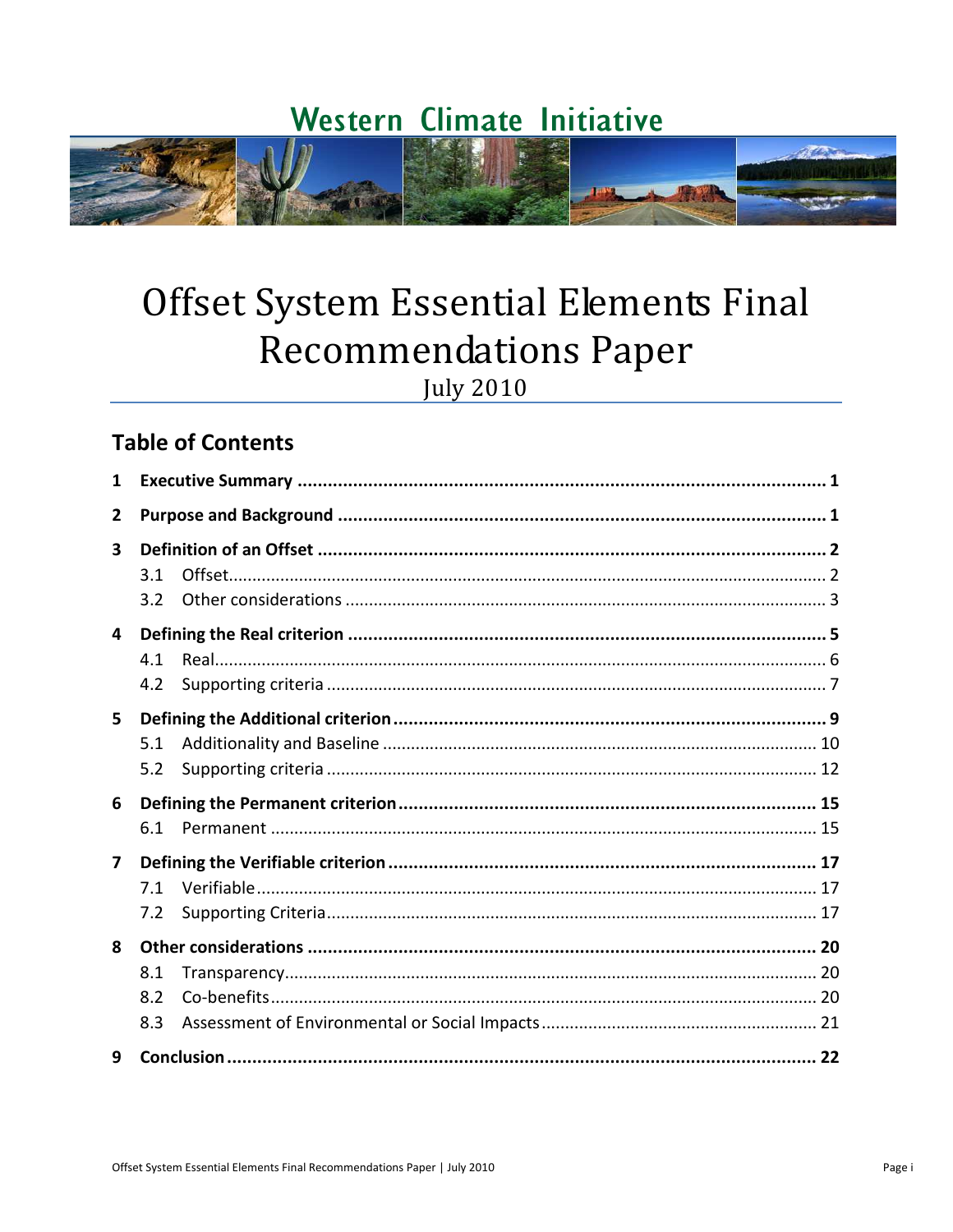# Western Climate Initiative



# Offset System Essential Elements Final **Recommendations Paper**

**July 2010** 

## **Table of Contents**

| 1                       |     |  |  |  |
|-------------------------|-----|--|--|--|
| $\mathbf{2}$            |     |  |  |  |
| $\overline{\mathbf{3}}$ |     |  |  |  |
|                         | 3.1 |  |  |  |
|                         | 3.2 |  |  |  |
| 4                       |     |  |  |  |
|                         | 4.1 |  |  |  |
|                         | 4.2 |  |  |  |
| 5.                      |     |  |  |  |
|                         | 5.1 |  |  |  |
|                         | 5.2 |  |  |  |
| 6                       |     |  |  |  |
|                         | 6.1 |  |  |  |
| 7                       |     |  |  |  |
|                         | 7.1 |  |  |  |
|                         | 7.2 |  |  |  |
| 8                       |     |  |  |  |
|                         | 8.1 |  |  |  |
|                         | 8.2 |  |  |  |
|                         | 8.3 |  |  |  |
| 9                       |     |  |  |  |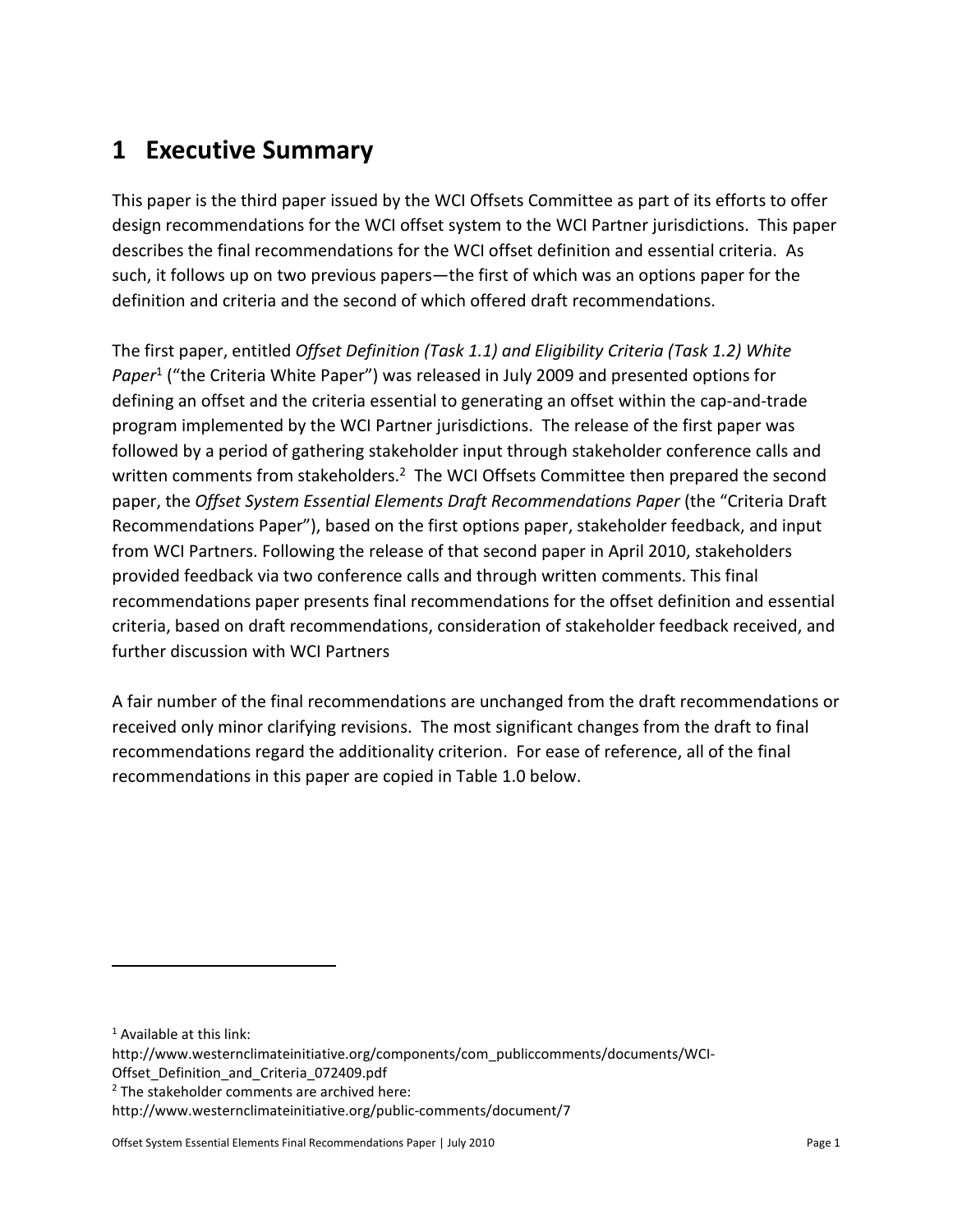# **1 Executive Summary**

This paper is the third paper issued by the WCI Offsets Committee as part of its efforts to offer design recommendations for the WCI offset system to the WCI Partner jurisdictions. This paper describes the final recommendations for the WCI offset definition and essential criteria. As such, it follows up on two previous papers—the first of which was an options paper for the definition and criteria and the second of which offered draft recommendations.

The first paper, entitled *Offset Definition (Task 1.1) and Eligibility Criteria (Task 1.2) White*  Paper<sup>1</sup> ("the Criteria White Paper") was released in July 2009 and presented options for defining an offset and the criteria essential to generating an offset within the cap-and-trade program implemented by the WCI Partner jurisdictions. The release of the first paper was followed by a period of gathering stakeholder input through stakeholder conference calls and written comments from stakeholders.<sup>2</sup> The WCI Offsets Committee then prepared the second paper, the *Offset System Essential Elements Draft Recommendations Paper* (the "Criteria Draft Recommendations Paper"), based on the first options paper, stakeholder feedback, and input from WCI Partners. Following the release of that second paper in April 2010, stakeholders provided feedback via two conference calls and through written comments. This final recommendations paper presents final recommendations for the offset definition and essential criteria, based on draft recommendations, consideration of stakeholder feedback received, and further discussion with WCI Partners

A fair number of the final recommendations are unchanged from the draft recommendations or received only minor clarifying revisions. The most significant changes from the draft to final recommendations regard the additionality criterion. For ease of reference, all of the final recommendations in this paper are copied in Table 1.0 below.

1

http://www.westernclimateinitiative.org/components/com\_publiccomments/documents/WCI-Offset\_Definition\_and\_Criteria\_072409.pdf

<sup>1</sup> Available at this link:

<sup>&</sup>lt;sup>2</sup> The stakeholder comments are archived here:

http://www.westernclimateinitiative.org/public-comments/document/7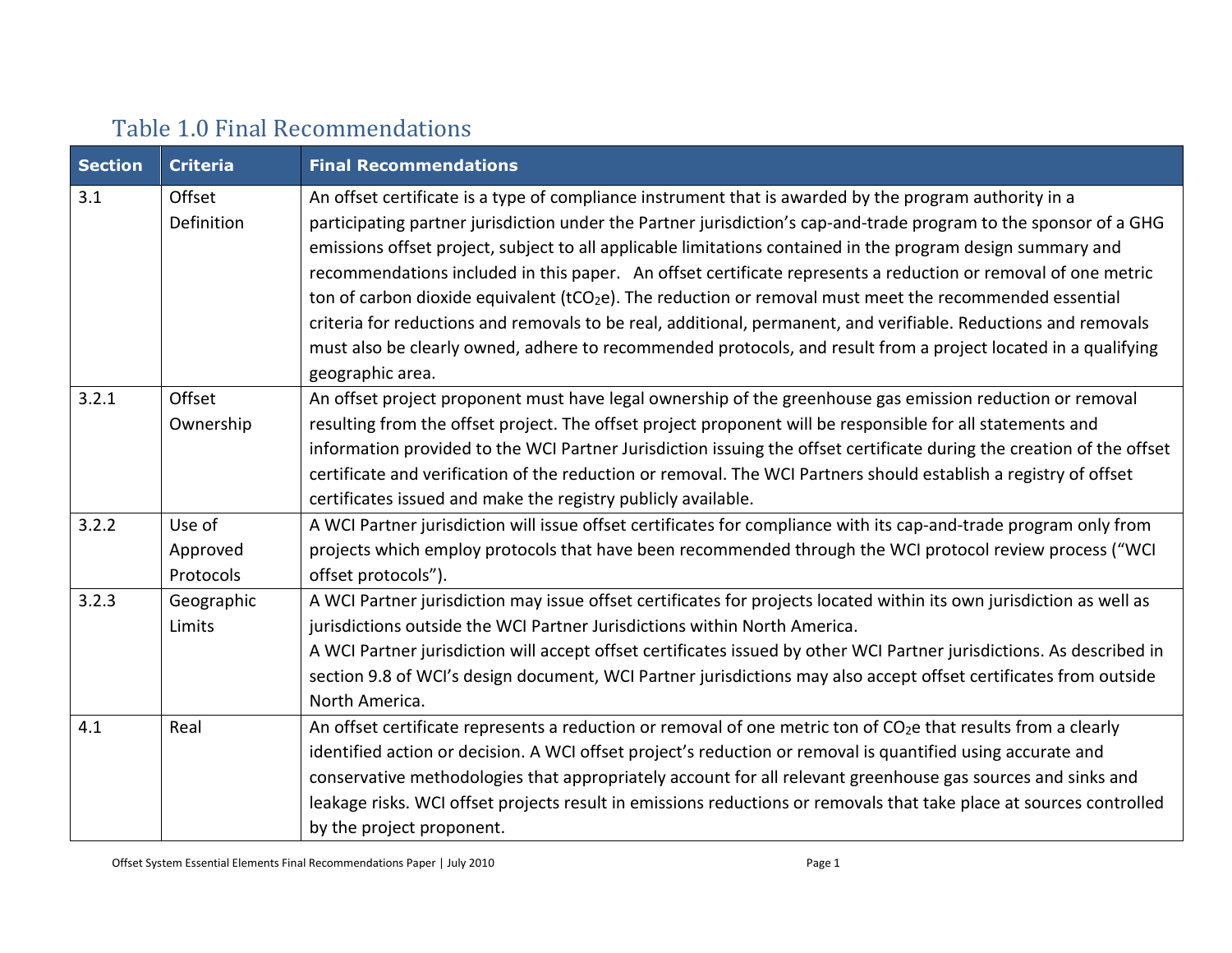# Table 1.0 Final Recommendations

| <b>Section</b>  | <b>Criteria</b> | <b>Final Recommendations</b>                                                                                               |  |  |  |
|-----------------|-----------------|----------------------------------------------------------------------------------------------------------------------------|--|--|--|
| 3.1             | Offset          | An offset certificate is a type of compliance instrument that is awarded by the program authority in a                     |  |  |  |
|                 | Definition      | participating partner jurisdiction under the Partner jurisdiction's cap-and-trade program to the sponsor of a GHG          |  |  |  |
|                 |                 | emissions offset project, subject to all applicable limitations contained in the program design summary and                |  |  |  |
|                 |                 | recommendations included in this paper. An offset certificate represents a reduction or removal of one metric              |  |  |  |
|                 |                 | ton of carbon dioxide equivalent (tCO <sub>2</sub> e). The reduction or removal must meet the recommended essential        |  |  |  |
|                 |                 | criteria for reductions and removals to be real, additional, permanent, and verifiable. Reductions and removals            |  |  |  |
|                 |                 | must also be clearly owned, adhere to recommended protocols, and result from a project located in a qualifying             |  |  |  |
|                 |                 | geographic area.                                                                                                           |  |  |  |
| 3.2.1<br>Offset |                 | An offset project proponent must have legal ownership of the greenhouse gas emission reduction or removal                  |  |  |  |
|                 | Ownership       | resulting from the offset project. The offset project proponent will be responsible for all statements and                 |  |  |  |
|                 |                 | information provided to the WCI Partner Jurisdiction issuing the offset certificate during the creation of the offset      |  |  |  |
|                 |                 | certificate and verification of the reduction or removal. The WCI Partners should establish a registry of offset           |  |  |  |
|                 |                 | certificates issued and make the registry publicly available.                                                              |  |  |  |
| 3.2.2<br>Use of |                 | A WCI Partner jurisdiction will issue offset certificates for compliance with its cap-and-trade program only from          |  |  |  |
|                 | Approved        | projects which employ protocols that have been recommended through the WCI protocol review process ("WCI                   |  |  |  |
|                 | Protocols       | offset protocols").                                                                                                        |  |  |  |
| 3.2.3           | Geographic      | A WCI Partner jurisdiction may issue offset certificates for projects located within its own jurisdiction as well as       |  |  |  |
|                 | Limits          | jurisdictions outside the WCI Partner Jurisdictions within North America.                                                  |  |  |  |
|                 |                 | A WCI Partner jurisdiction will accept offset certificates issued by other WCI Partner jurisdictions. As described in      |  |  |  |
|                 |                 | section 9.8 of WCI's design document, WCI Partner jurisdictions may also accept offset certificates from outside           |  |  |  |
|                 |                 | North America.                                                                                                             |  |  |  |
| 4.1             | Real            | An offset certificate represents a reduction or removal of one metric ton of CO <sub>2</sub> e that results from a clearly |  |  |  |
|                 |                 | identified action or decision. A WCI offset project's reduction or removal is quantified using accurate and                |  |  |  |
|                 |                 | conservative methodologies that appropriately account for all relevant greenhouse gas sources and sinks and                |  |  |  |
|                 |                 | leakage risks. WCI offset projects result in emissions reductions or removals that take place at sources controlled        |  |  |  |
|                 |                 | by the project proponent.                                                                                                  |  |  |  |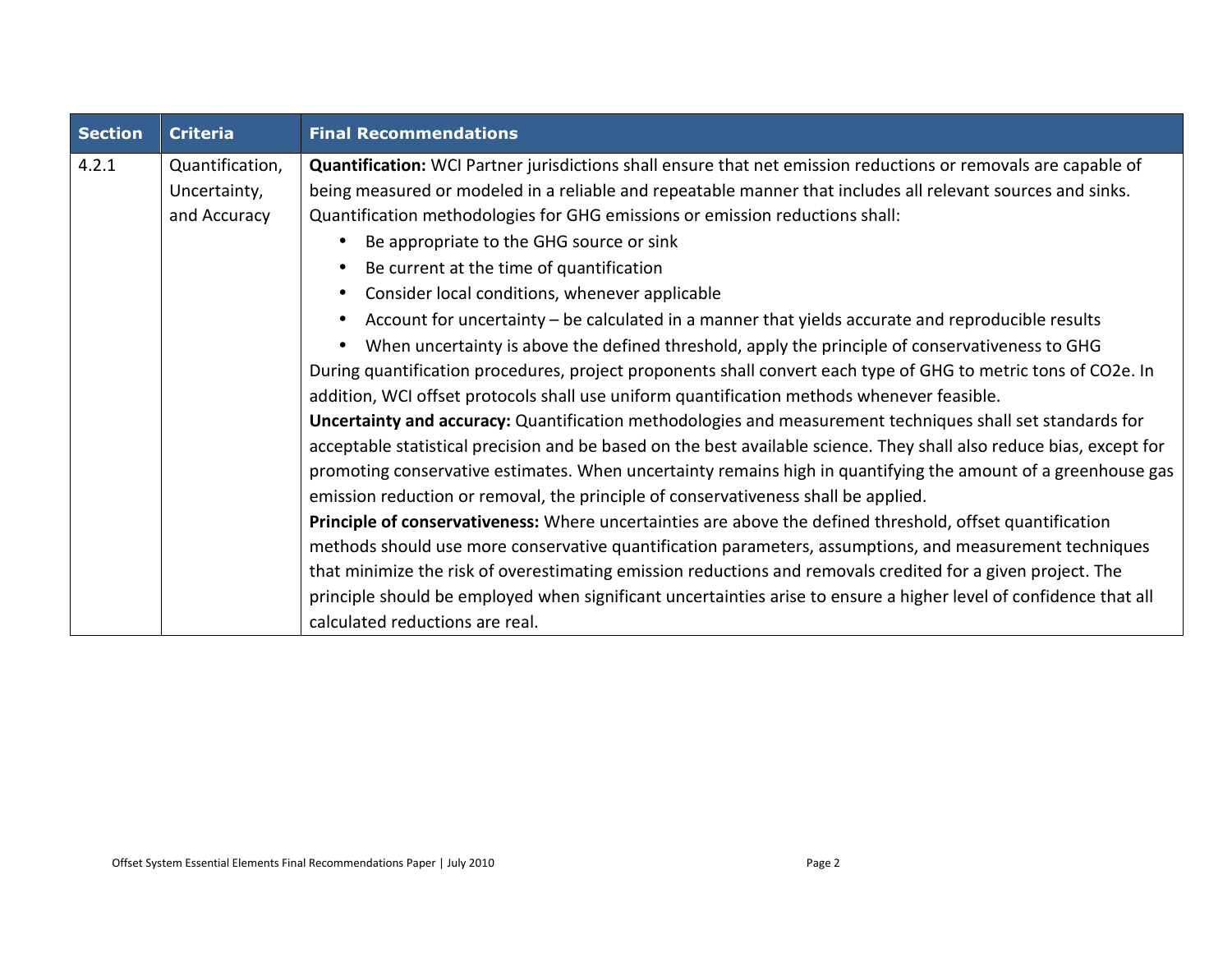| <b>Section</b> | <b>Criteria</b>                                 | <b>Final Recommendations</b>                                                                                                                                                                                                                                                                                                                                                                                                                                                                                                                                                                                                                                                                                                                                                                                                                                                                                                                                                                                                                                                                                                                                                                                                                                                                                                                                                                                                                                                                                                                                                                                                                                                                                                                                                                                               |  |
|----------------|-------------------------------------------------|----------------------------------------------------------------------------------------------------------------------------------------------------------------------------------------------------------------------------------------------------------------------------------------------------------------------------------------------------------------------------------------------------------------------------------------------------------------------------------------------------------------------------------------------------------------------------------------------------------------------------------------------------------------------------------------------------------------------------------------------------------------------------------------------------------------------------------------------------------------------------------------------------------------------------------------------------------------------------------------------------------------------------------------------------------------------------------------------------------------------------------------------------------------------------------------------------------------------------------------------------------------------------------------------------------------------------------------------------------------------------------------------------------------------------------------------------------------------------------------------------------------------------------------------------------------------------------------------------------------------------------------------------------------------------------------------------------------------------------------------------------------------------------------------------------------------------|--|
| 4.2.1          | Quantification,<br>Uncertainty,<br>and Accuracy | Quantification: WCI Partner jurisdictions shall ensure that net emission reductions or removals are capable of<br>being measured or modeled in a reliable and repeatable manner that includes all relevant sources and sinks.<br>Quantification methodologies for GHG emissions or emission reductions shall:<br>Be appropriate to the GHG source or sink<br>Be current at the time of quantification<br>Consider local conditions, whenever applicable<br>Account for uncertainty – be calculated in a manner that yields accurate and reproducible results<br>When uncertainty is above the defined threshold, apply the principle of conservativeness to GHG<br>During quantification procedures, project proponents shall convert each type of GHG to metric tons of CO2e. In<br>addition, WCI offset protocols shall use uniform quantification methods whenever feasible.<br>Uncertainty and accuracy: Quantification methodologies and measurement techniques shall set standards for<br>acceptable statistical precision and be based on the best available science. They shall also reduce bias, except for<br>promoting conservative estimates. When uncertainty remains high in quantifying the amount of a greenhouse gas<br>emission reduction or removal, the principle of conservativeness shall be applied.<br>Principle of conservativeness: Where uncertainties are above the defined threshold, offset quantification<br>methods should use more conservative quantification parameters, assumptions, and measurement techniques<br>that minimize the risk of overestimating emission reductions and removals credited for a given project. The<br>principle should be employed when significant uncertainties arise to ensure a higher level of confidence that all<br>calculated reductions are real. |  |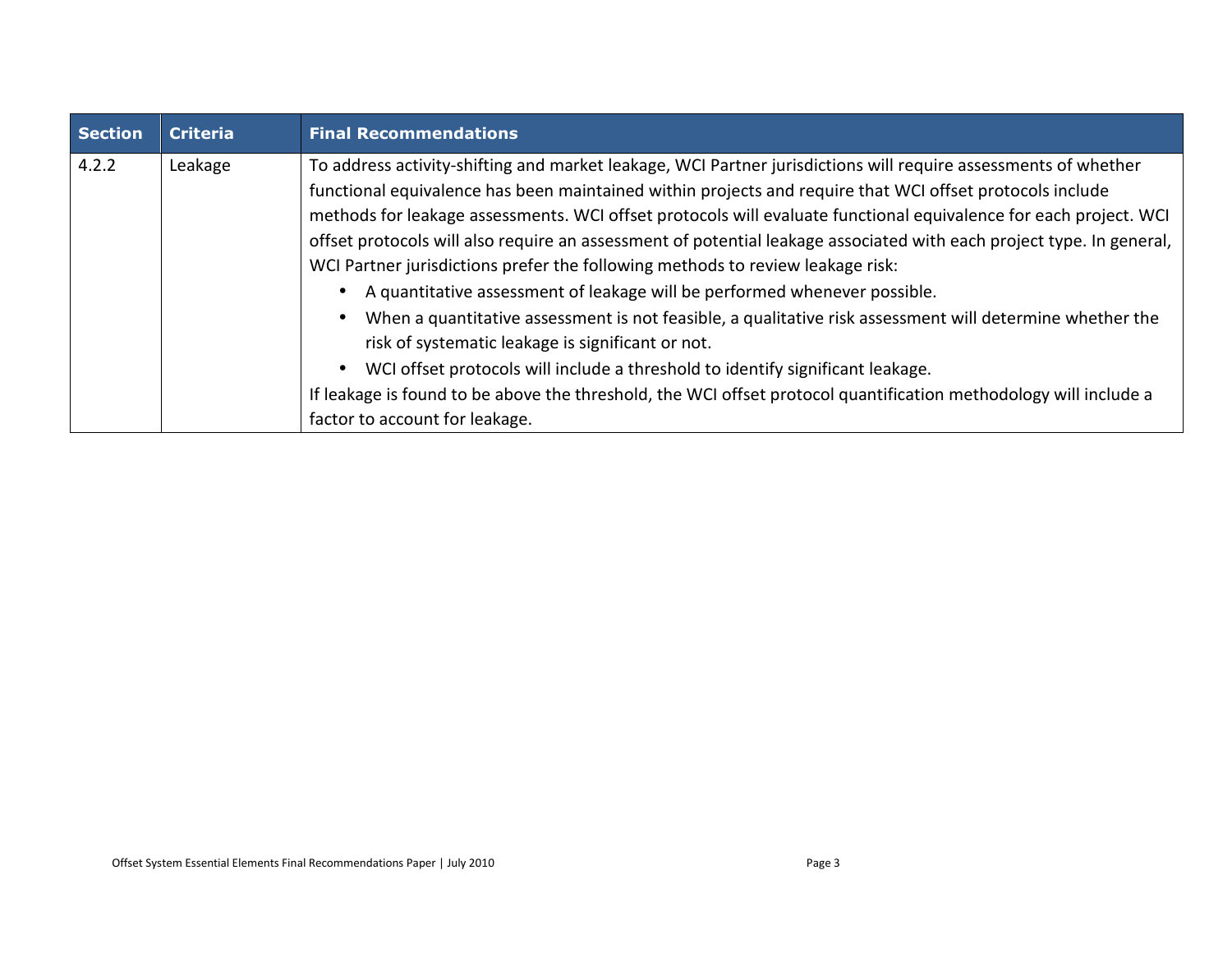| <b>Section</b> | <b>Criteria</b>                                                                                                           | <b>Final Recommendations</b>                                                                                         |  |
|----------------|---------------------------------------------------------------------------------------------------------------------------|----------------------------------------------------------------------------------------------------------------------|--|
| 4.2.2          | To address activity-shifting and market leakage, WCI Partner jurisdictions will require assessments of whether<br>Leakage |                                                                                                                      |  |
|                |                                                                                                                           | functional equivalence has been maintained within projects and require that WCI offset protocols include             |  |
|                |                                                                                                                           | methods for leakage assessments. WCI offset protocols will evaluate functional equivalence for each project. WCI     |  |
|                |                                                                                                                           | offset protocols will also require an assessment of potential leakage associated with each project type. In general, |  |
|                |                                                                                                                           | WCI Partner jurisdictions prefer the following methods to review leakage risk:                                       |  |
|                |                                                                                                                           | A quantitative assessment of leakage will be performed whenever possible.                                            |  |
|                |                                                                                                                           | When a quantitative assessment is not feasible, a qualitative risk assessment will determine whether the             |  |
|                |                                                                                                                           | risk of systematic leakage is significant or not.                                                                    |  |
|                |                                                                                                                           | WCI offset protocols will include a threshold to identify significant leakage.                                       |  |
|                |                                                                                                                           | If leakage is found to be above the threshold, the WCI offset protocol quantification methodology will include a     |  |
|                |                                                                                                                           | factor to account for leakage.                                                                                       |  |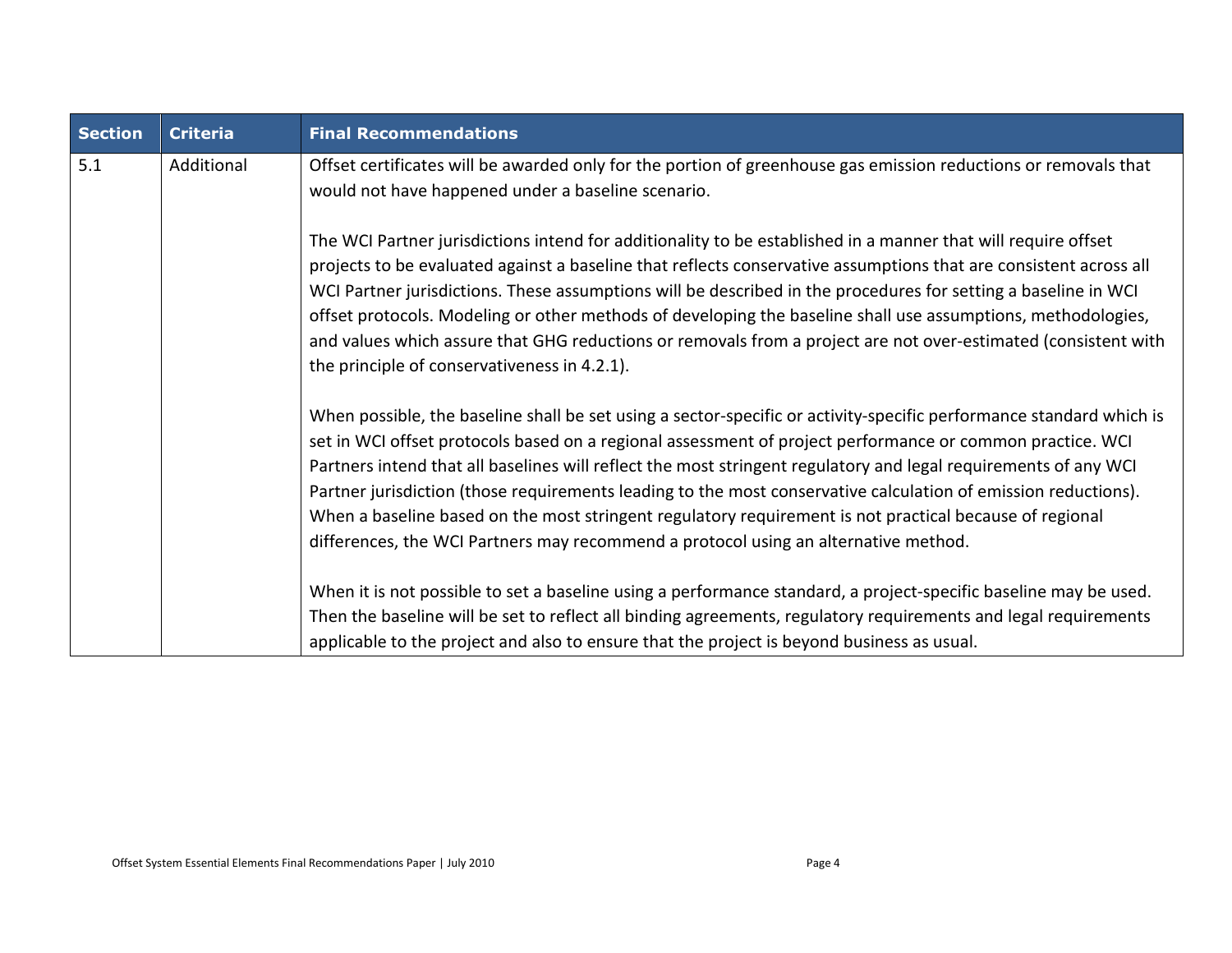| <b>Section</b> | <b>Criteria</b> | <b>Final Recommendations</b>                                                                                                                                                                                                                                                                                                                                                                                                                                                                                                                                                                                                                                            |  |
|----------------|-----------------|-------------------------------------------------------------------------------------------------------------------------------------------------------------------------------------------------------------------------------------------------------------------------------------------------------------------------------------------------------------------------------------------------------------------------------------------------------------------------------------------------------------------------------------------------------------------------------------------------------------------------------------------------------------------------|--|
| 5.1            | Additional      | Offset certificates will be awarded only for the portion of greenhouse gas emission reductions or removals that<br>would not have happened under a baseline scenario.                                                                                                                                                                                                                                                                                                                                                                                                                                                                                                   |  |
|                |                 | The WCI Partner jurisdictions intend for additionality to be established in a manner that will require offset<br>projects to be evaluated against a baseline that reflects conservative assumptions that are consistent across all<br>WCI Partner jurisdictions. These assumptions will be described in the procedures for setting a baseline in WCI<br>offset protocols. Modeling or other methods of developing the baseline shall use assumptions, methodologies,<br>and values which assure that GHG reductions or removals from a project are not over-estimated (consistent with<br>the principle of conservativeness in 4.2.1).                                  |  |
|                |                 | When possible, the baseline shall be set using a sector-specific or activity-specific performance standard which is<br>set in WCI offset protocols based on a regional assessment of project performance or common practice. WCI<br>Partners intend that all baselines will reflect the most stringent regulatory and legal requirements of any WCI<br>Partner jurisdiction (those requirements leading to the most conservative calculation of emission reductions).<br>When a baseline based on the most stringent regulatory requirement is not practical because of regional<br>differences, the WCI Partners may recommend a protocol using an alternative method. |  |
|                |                 | When it is not possible to set a baseline using a performance standard, a project-specific baseline may be used.<br>Then the baseline will be set to reflect all binding agreements, regulatory requirements and legal requirements<br>applicable to the project and also to ensure that the project is beyond business as usual.                                                                                                                                                                                                                                                                                                                                       |  |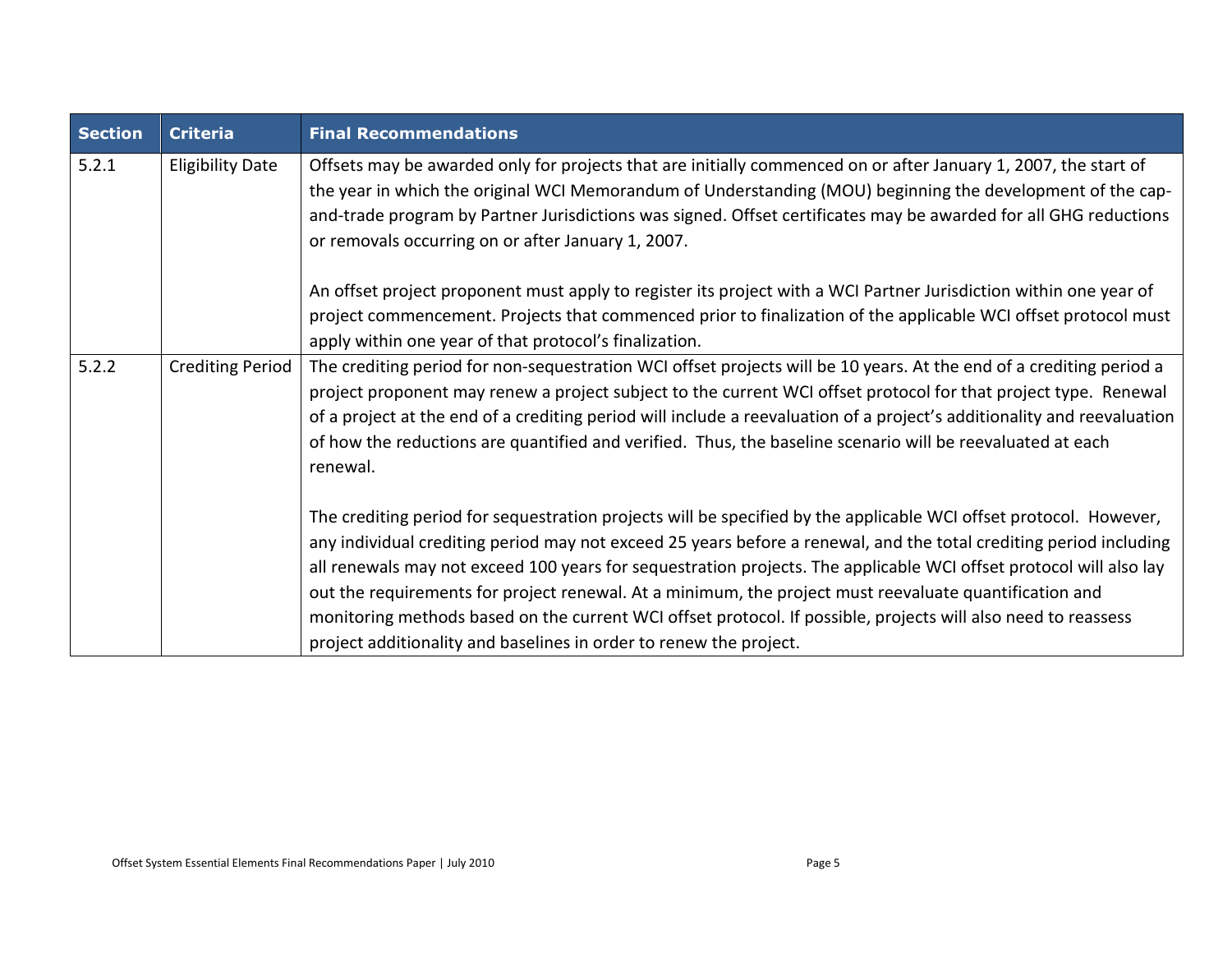| <b>Section</b> | <b>Criteria</b>         | <b>Final Recommendations</b>                                                                                                                                                                                                                                                                                                                                                                                                                                                                                                                                                                                                                                   |  |
|----------------|-------------------------|----------------------------------------------------------------------------------------------------------------------------------------------------------------------------------------------------------------------------------------------------------------------------------------------------------------------------------------------------------------------------------------------------------------------------------------------------------------------------------------------------------------------------------------------------------------------------------------------------------------------------------------------------------------|--|
| 5.2.1          | <b>Eligibility Date</b> | Offsets may be awarded only for projects that are initially commenced on or after January 1, 2007, the start of<br>the year in which the original WCI Memorandum of Understanding (MOU) beginning the development of the cap-<br>and-trade program by Partner Jurisdictions was signed. Offset certificates may be awarded for all GHG reductions<br>or removals occurring on or after January 1, 2007.                                                                                                                                                                                                                                                        |  |
|                |                         | An offset project proponent must apply to register its project with a WCI Partner Jurisdiction within one year of<br>project commencement. Projects that commenced prior to finalization of the applicable WCI offset protocol must<br>apply within one year of that protocol's finalization.                                                                                                                                                                                                                                                                                                                                                                  |  |
| 5.2.2          | <b>Crediting Period</b> | The crediting period for non-sequestration WCI offset projects will be 10 years. At the end of a crediting period a<br>project proponent may renew a project subject to the current WCI offset protocol for that project type. Renewal<br>of a project at the end of a crediting period will include a reevaluation of a project's additionality and reevaluation<br>of how the reductions are quantified and verified. Thus, the baseline scenario will be reevaluated at each<br>renewal.                                                                                                                                                                    |  |
|                |                         | The crediting period for sequestration projects will be specified by the applicable WCI offset protocol. However,<br>any individual crediting period may not exceed 25 years before a renewal, and the total crediting period including<br>all renewals may not exceed 100 years for sequestration projects. The applicable WCI offset protocol will also lay<br>out the requirements for project renewal. At a minimum, the project must reevaluate quantification and<br>monitoring methods based on the current WCI offset protocol. If possible, projects will also need to reassess<br>project additionality and baselines in order to renew the project. |  |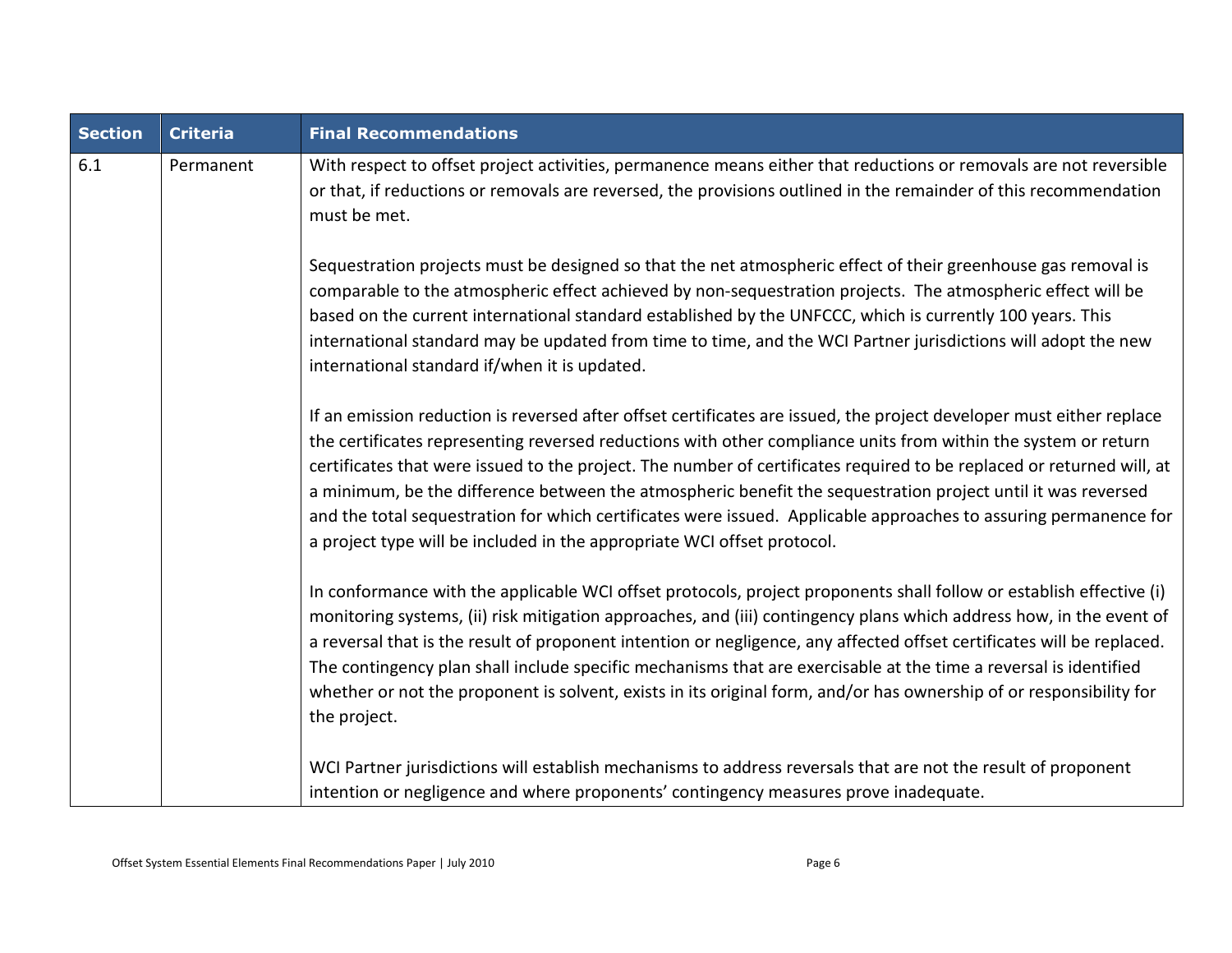| <b>Section</b> | <b>Criteria</b> | <b>Final Recommendations</b>                                                                                                                                                                                                                                                                                                                                                                                                                                                                                                                                                                                                                                                   |  |  |
|----------------|-----------------|--------------------------------------------------------------------------------------------------------------------------------------------------------------------------------------------------------------------------------------------------------------------------------------------------------------------------------------------------------------------------------------------------------------------------------------------------------------------------------------------------------------------------------------------------------------------------------------------------------------------------------------------------------------------------------|--|--|
| 6.1            | Permanent       | With respect to offset project activities, permanence means either that reductions or removals are not reversible<br>or that, if reductions or removals are reversed, the provisions outlined in the remainder of this recommendation<br>must be met.                                                                                                                                                                                                                                                                                                                                                                                                                          |  |  |
|                |                 | Sequestration projects must be designed so that the net atmospheric effect of their greenhouse gas removal is<br>comparable to the atmospheric effect achieved by non-sequestration projects. The atmospheric effect will be<br>based on the current international standard established by the UNFCCC, which is currently 100 years. This<br>international standard may be updated from time to time, and the WCI Partner jurisdictions will adopt the new<br>international standard if/when it is updated.                                                                                                                                                                    |  |  |
|                |                 | If an emission reduction is reversed after offset certificates are issued, the project developer must either replace<br>the certificates representing reversed reductions with other compliance units from within the system or return<br>certificates that were issued to the project. The number of certificates required to be replaced or returned will, at<br>a minimum, be the difference between the atmospheric benefit the sequestration project until it was reversed<br>and the total sequestration for which certificates were issued. Applicable approaches to assuring permanence for<br>a project type will be included in the appropriate WCI offset protocol. |  |  |
|                |                 | In conformance with the applicable WCI offset protocols, project proponents shall follow or establish effective (i)<br>monitoring systems, (ii) risk mitigation approaches, and (iii) contingency plans which address how, in the event of<br>a reversal that is the result of proponent intention or negligence, any affected offset certificates will be replaced.<br>The contingency plan shall include specific mechanisms that are exercisable at the time a reversal is identified<br>whether or not the proponent is solvent, exists in its original form, and/or has ownership of or responsibility for<br>the project.                                                |  |  |
|                |                 | WCI Partner jurisdictions will establish mechanisms to address reversals that are not the result of proponent<br>intention or negligence and where proponents' contingency measures prove inadequate.                                                                                                                                                                                                                                                                                                                                                                                                                                                                          |  |  |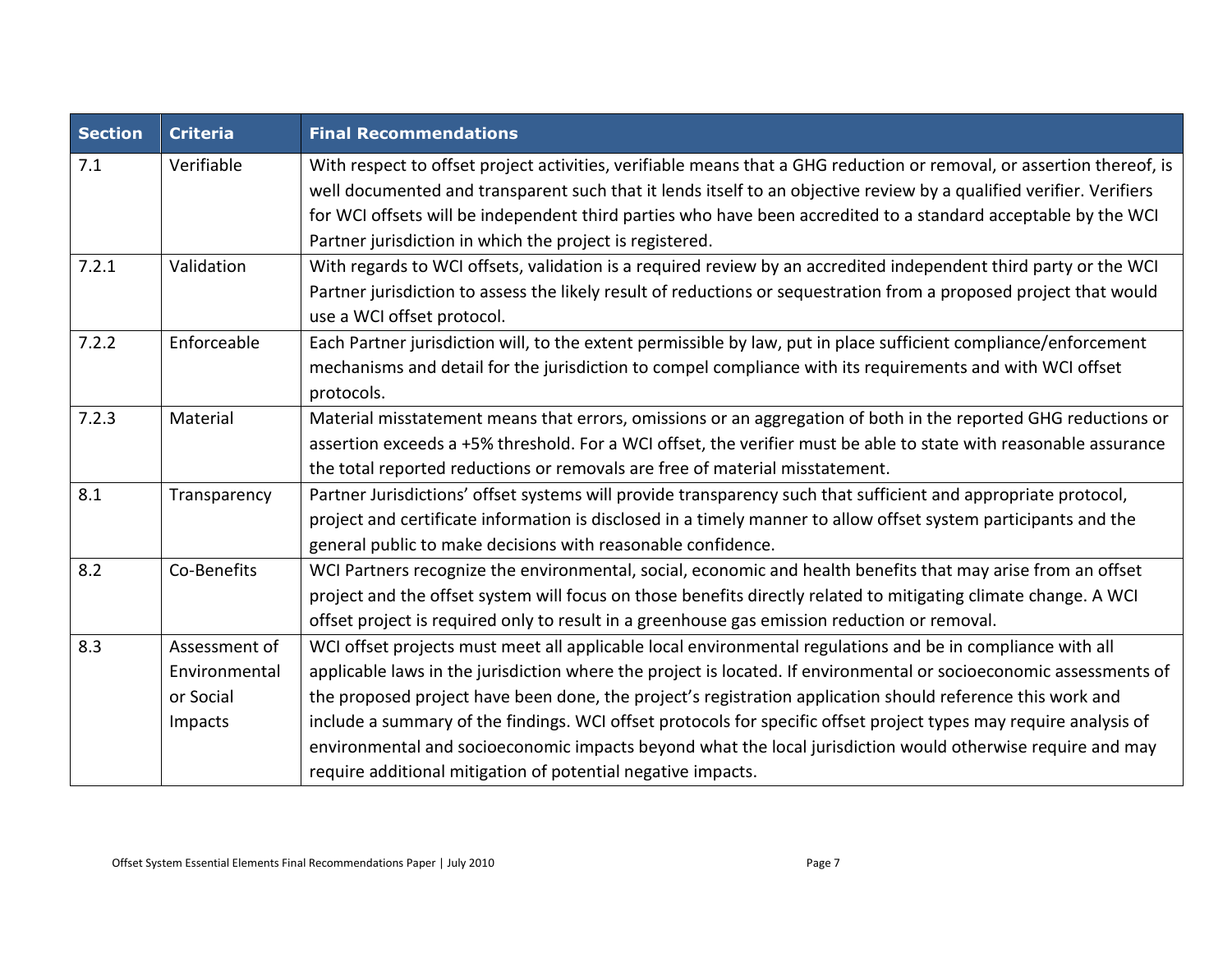| <b>Section</b>      | <b>Criteria</b> | <b>Final Recommendations</b>                                                                                          |  |
|---------------------|-----------------|-----------------------------------------------------------------------------------------------------------------------|--|
| Verifiable<br>7.1   |                 | With respect to offset project activities, verifiable means that a GHG reduction or removal, or assertion thereof, is |  |
|                     |                 | well documented and transparent such that it lends itself to an objective review by a qualified verifier. Verifiers   |  |
|                     |                 | for WCI offsets will be independent third parties who have been accredited to a standard acceptable by the WCI        |  |
|                     |                 | Partner jurisdiction in which the project is registered.                                                              |  |
| 7.2.1<br>Validation |                 | With regards to WCI offsets, validation is a required review by an accredited independent third party or the WCI      |  |
|                     |                 | Partner jurisdiction to assess the likely result of reductions or sequestration from a proposed project that would    |  |
|                     |                 | use a WCI offset protocol.                                                                                            |  |
| 7.2.2               | Enforceable     | Each Partner jurisdiction will, to the extent permissible by law, put in place sufficient compliance/enforcement      |  |
|                     |                 | mechanisms and detail for the jurisdiction to compel compliance with its requirements and with WCI offset             |  |
|                     |                 | protocols.                                                                                                            |  |
| 7.2.3<br>Material   |                 | Material misstatement means that errors, omissions or an aggregation of both in the reported GHG reductions or        |  |
|                     |                 | assertion exceeds a +5% threshold. For a WCI offset, the verifier must be able to state with reasonable assurance     |  |
|                     |                 | the total reported reductions or removals are free of material misstatement.                                          |  |
| 8.1<br>Transparency |                 | Partner Jurisdictions' offset systems will provide transparency such that sufficient and appropriate protocol,        |  |
|                     |                 | project and certificate information is disclosed in a timely manner to allow offset system participants and the       |  |
|                     |                 | general public to make decisions with reasonable confidence.                                                          |  |
| 8.2                 | Co-Benefits     | WCI Partners recognize the environmental, social, economic and health benefits that may arise from an offset          |  |
|                     |                 | project and the offset system will focus on those benefits directly related to mitigating climate change. A WCI       |  |
|                     |                 | offset project is required only to result in a greenhouse gas emission reduction or removal.                          |  |
| 8.3                 | Assessment of   | WCI offset projects must meet all applicable local environmental regulations and be in compliance with all            |  |
|                     | Environmental   | applicable laws in the jurisdiction where the project is located. If environmental or socioeconomic assessments of    |  |
|                     | or Social       | the proposed project have been done, the project's registration application should reference this work and            |  |
|                     | Impacts         | include a summary of the findings. WCI offset protocols for specific offset project types may require analysis of     |  |
|                     |                 | environmental and socioeconomic impacts beyond what the local jurisdiction would otherwise require and may            |  |
|                     |                 | require additional mitigation of potential negative impacts.                                                          |  |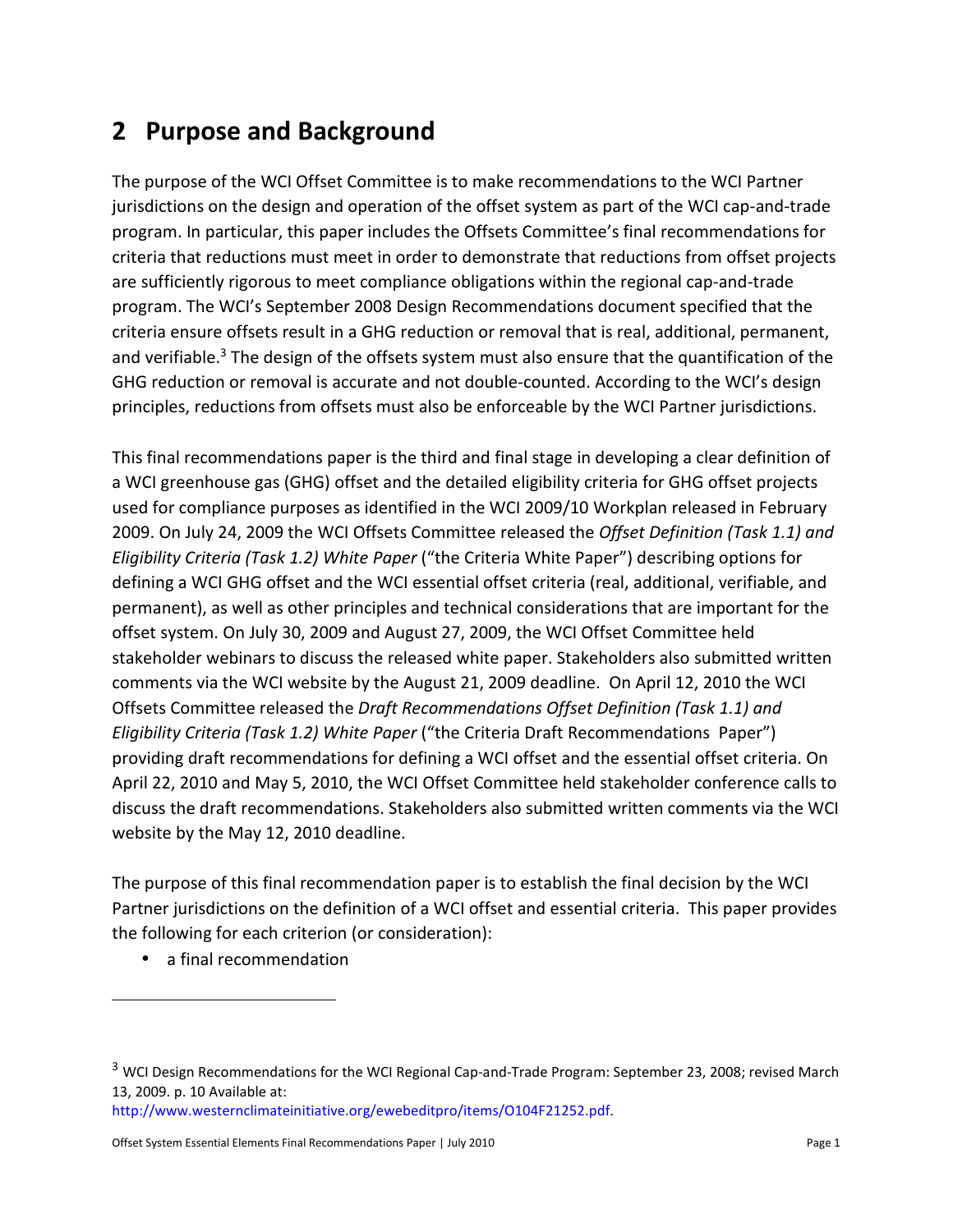# **2 Purpose and Background**

The purpose of the WCI Offset Committee is to make recommendations to the WCI Partner jurisdictions on the design and operation of the offset system as part of the WCI cap-and-trade program. In particular, this paper includes the Offsets Committee's final recommendations for criteria that reductions must meet in order to demonstrate that reductions from offset projects are sufficiently rigorous to meet compliance obligations within the regional cap-and-trade program. The WCI's September 2008 Design Recommendations document specified that the criteria ensure offsets result in a GHG reduction or removal that is real, additional, permanent, and verifiable.<sup>3</sup> The design of the offsets system must also ensure that the quantification of the GHG reduction or removal is accurate and not double-counted. According to the WCI's design principles, reductions from offsets must also be enforceable by the WCI Partner jurisdictions.

This final recommendations paper is the third and final stage in developing a clear definition of a WCI greenhouse gas (GHG) offset and the detailed eligibility criteria for GHG offset projects used for compliance purposes as identified in the WCI 2009/10 Workplan released in February 2009. On July 24, 2009 the WCI Offsets Committee released the *Offset Definition (Task 1.1) and Eligibility Criteria (Task 1.2) White Paper* ("the Criteria White Paper") describing options for defining a WCI GHG offset and the WCI essential offset criteria (real, additional, verifiable, and permanent), as well as other principles and technical considerations that are important for the offset system. On July 30, 2009 and August 27, 2009, the WCI Offset Committee held stakeholder webinars to discuss the released white paper. Stakeholders also submitted written comments via the WCI website by the August 21, 2009 deadline. On April 12, 2010 the WCI Offsets Committee released the *Draft Recommendations Offset Definition (Task 1.1) and Eligibility Criteria (Task 1.2) White Paper* ("the Criteria Draft Recommendations Paper") providing draft recommendations for defining a WCI offset and the essential offset criteria. On April 22, 2010 and May 5, 2010, the WCI Offset Committee held stakeholder conference calls to discuss the draft recommendations. Stakeholders also submitted written comments via the WCI website by the May 12, 2010 deadline.

The purpose of this final recommendation paper is to establish the final decision by the WCI Partner jurisdictions on the definition of a WCI offset and essential criteria. This paper provides the following for each criterion (or consideration):

• a final recommendation

l

http://www.westernclimateinitiative.org/ewebeditpro/items/O104F21252.pdf.

<sup>&</sup>lt;sup>3</sup> WCI Design Recommendations for the WCI Regional Cap-and-Trade Program: September 23, 2008; revised March 13, 2009. p. 10 Available at: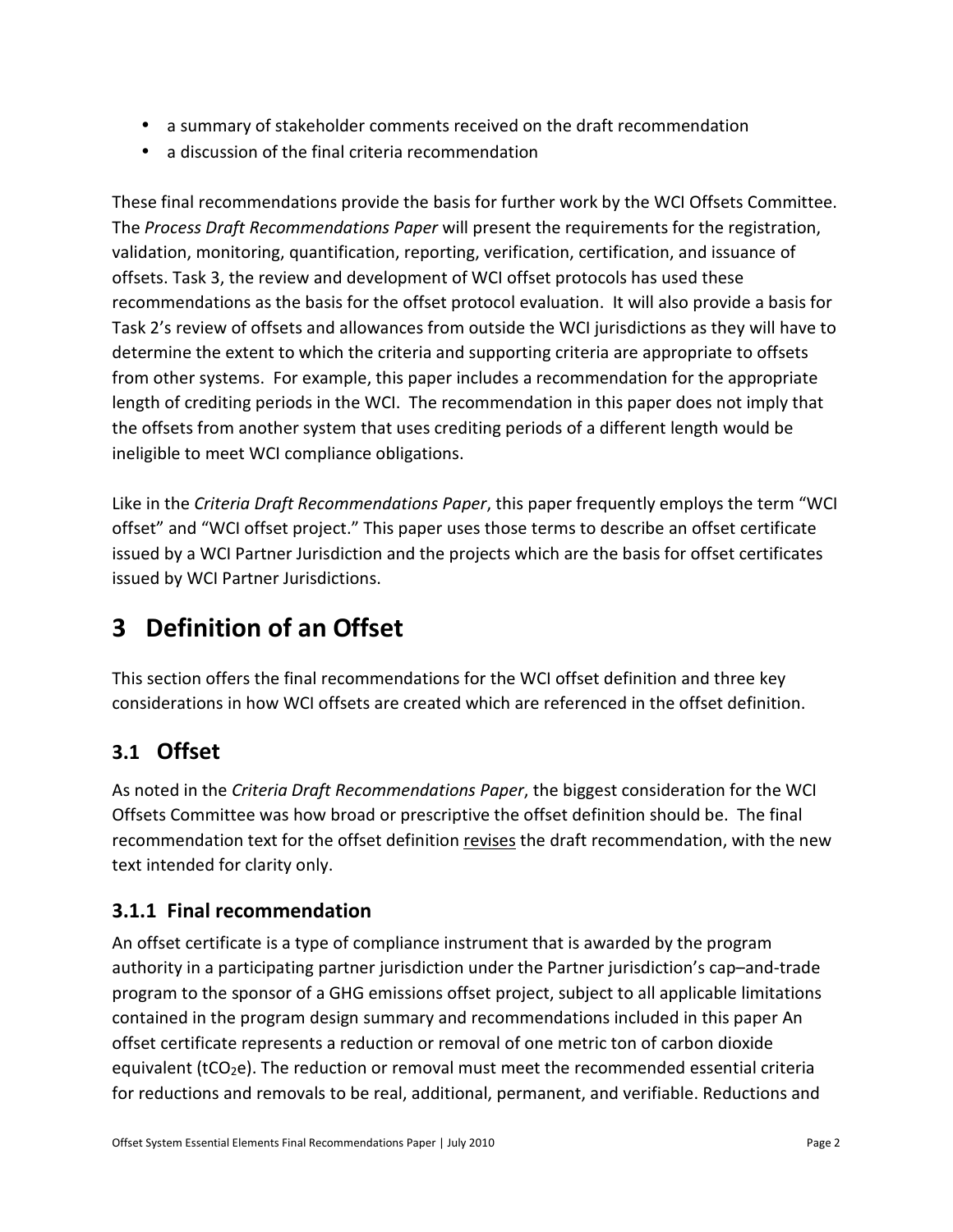- a summary of stakeholder comments received on the draft recommendation
- a discussion of the final criteria recommendation

These final recommendations provide the basis for further work by the WCI Offsets Committee. The *Process Draft Recommendations Paper* will present the requirements for the registration, validation, monitoring, quantification, reporting, verification, certification, and issuance of offsets. Task 3, the review and development of WCI offset protocols has used these recommendations as the basis for the offset protocol evaluation. It will also provide a basis for Task 2's review of offsets and allowances from outside the WCI jurisdictions as they will have to determine the extent to which the criteria and supporting criteria are appropriate to offsets from other systems. For example, this paper includes a recommendation for the appropriate length of crediting periods in the WCI. The recommendation in this paper does not imply that the offsets from another system that uses crediting periods of a different length would be ineligible to meet WCI compliance obligations.

Like in the *Criteria Draft Recommendations Paper*, this paper frequently employs the term "WCI offset" and "WCI offset project." This paper uses those terms to describe an offset certificate issued by a WCI Partner Jurisdiction and the projects which are the basis for offset certificates issued by WCI Partner Jurisdictions.

# **3 Definition of an Offset**

This section offers the final recommendations for the WCI offset definition and three key considerations in how WCI offsets are created which are referenced in the offset definition.

### **3.1 Offset**

As noted in the *Criteria Draft Recommendations Paper*, the biggest consideration for the WCI Offsets Committee was how broad or prescriptive the offset definition should be. The final recommendation text for the offset definition revises the draft recommendation, with the new text intended for clarity only.

#### **3.1.1 Final recommendation**

An offset certificate is a type of compliance instrument that is awarded by the program authority in a participating partner jurisdiction under the Partner jurisdiction's cap–and-trade program to the sponsor of a GHG emissions offset project, subject to all applicable limitations contained in the program design summary and recommendations included in this paper An offset certificate represents a reduction or removal of one metric ton of carbon dioxide equivalent (tCO<sub>2</sub>e). The reduction or removal must meet the recommended essential criteria for reductions and removals to be real, additional, permanent, and verifiable. Reductions and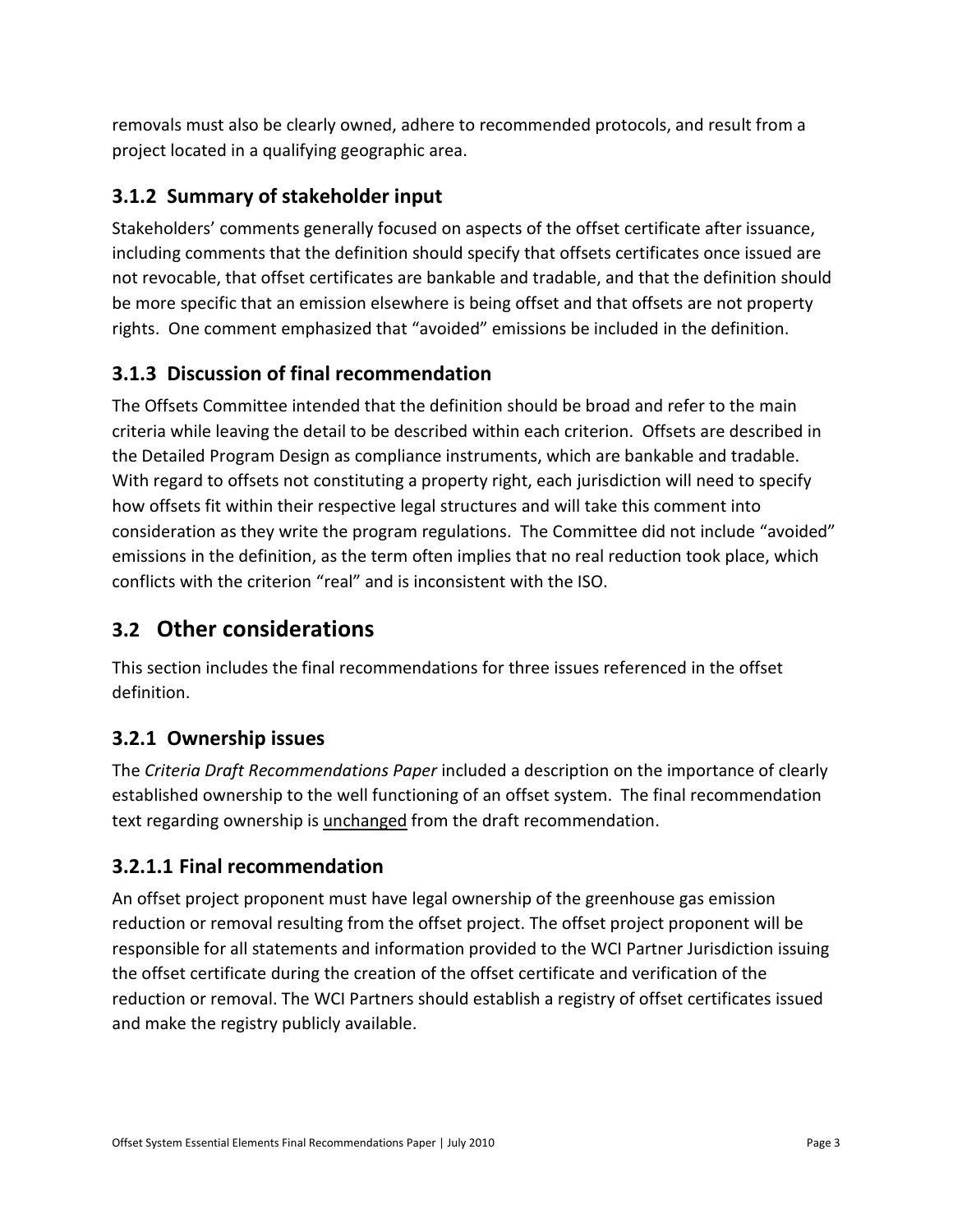removals must also be clearly owned, adhere to recommended protocols, and result from a project located in a qualifying geographic area.

#### **3.1.2 Summary of stakeholder input**

Stakeholders' comments generally focused on aspects of the offset certificate after issuance, including comments that the definition should specify that offsets certificates once issued are not revocable, that offset certificates are bankable and tradable, and that the definition should be more specific that an emission elsewhere is being offset and that offsets are not property rights. One comment emphasized that "avoided" emissions be included in the definition.

#### **3.1.3 Discussion of final recommendation**

The Offsets Committee intended that the definition should be broad and refer to the main criteria while leaving the detail to be described within each criterion. Offsets are described in the Detailed Program Design as compliance instruments, which are bankable and tradable. With regard to offsets not constituting a property right, each jurisdiction will need to specify how offsets fit within their respective legal structures and will take this comment into consideration as they write the program regulations. The Committee did not include "avoided" emissions in the definition, as the term often implies that no real reduction took place, which conflicts with the criterion "real" and is inconsistent with the ISO.

### **3.2 Other considerations**

This section includes the final recommendations for three issues referenced in the offset definition.

#### **3.2.1 Ownership issues**

The *Criteria Draft Recommendations Paper* included a description on the importance of clearly established ownership to the well functioning of an offset system. The final recommendation text regarding ownership is unchanged from the draft recommendation.

#### **3.2.1.1 Final recommendation**

An offset project proponent must have legal ownership of the greenhouse gas emission reduction or removal resulting from the offset project. The offset project proponent will be responsible for all statements and information provided to the WCI Partner Jurisdiction issuing the offset certificate during the creation of the offset certificate and verification of the reduction or removal. The WCI Partners should establish a registry of offset certificates issued and make the registry publicly available.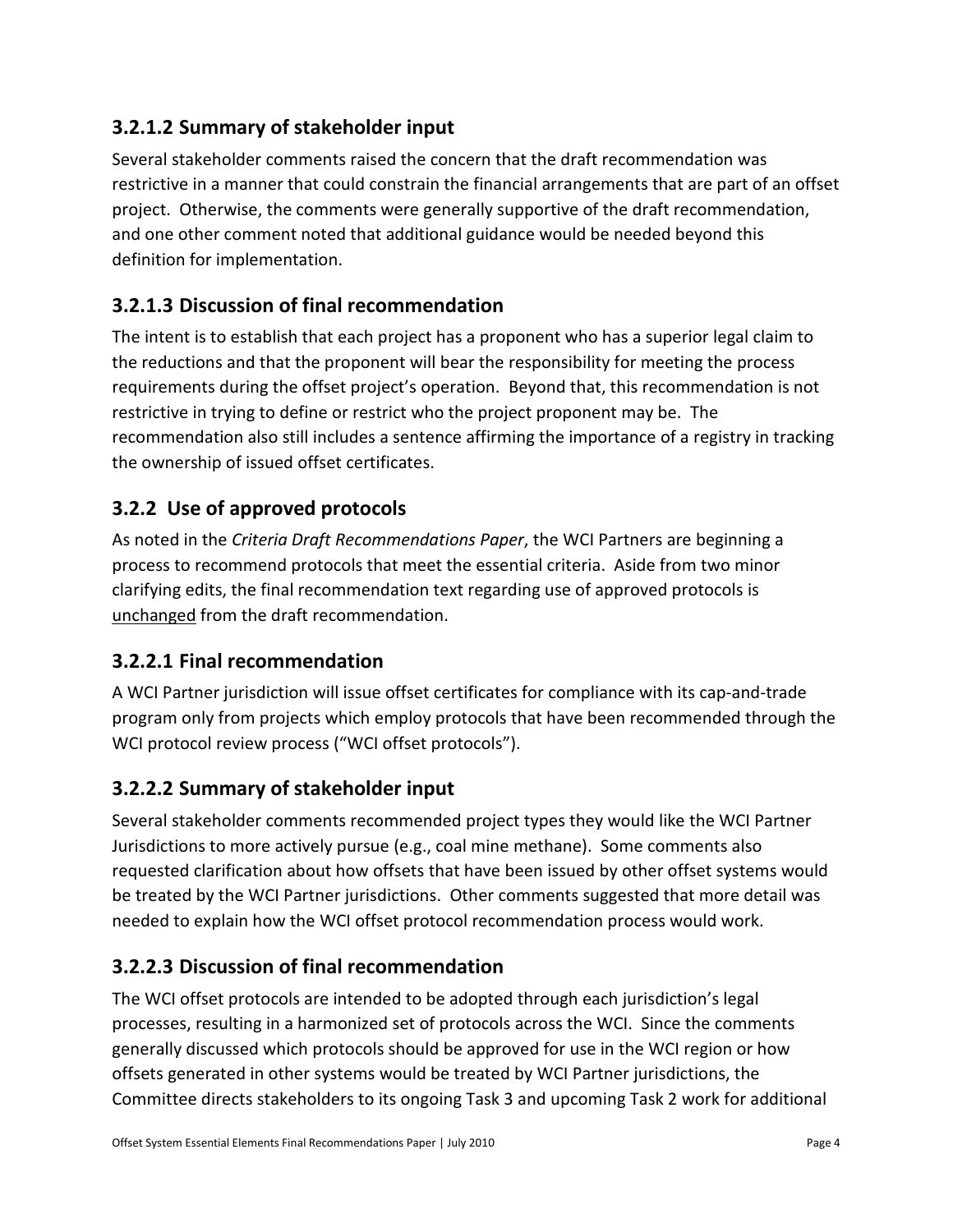#### **3.2.1.2 Summary of stakeholder input**

Several stakeholder comments raised the concern that the draft recommendation was restrictive in a manner that could constrain the financial arrangements that are part of an offset project. Otherwise, the comments were generally supportive of the draft recommendation, and one other comment noted that additional guidance would be needed beyond this definition for implementation.

#### **3.2.1.3 Discussion of final recommendation**

The intent is to establish that each project has a proponent who has a superior legal claim to the reductions and that the proponent will bear the responsibility for meeting the process requirements during the offset project's operation. Beyond that, this recommendation is not restrictive in trying to define or restrict who the project proponent may be. The recommendation also still includes a sentence affirming the importance of a registry in tracking the ownership of issued offset certificates.

#### **3.2.2 Use of approved protocols**

As noted in the *Criteria Draft Recommendations Paper*, the WCI Partners are beginning a process to recommend protocols that meet the essential criteria. Aside from two minor clarifying edits, the final recommendation text regarding use of approved protocols is unchanged from the draft recommendation.

#### **3.2.2.1 Final recommendation**

A WCI Partner jurisdiction will issue offset certificates for compliance with its cap-and-trade program only from projects which employ protocols that have been recommended through the WCI protocol review process ("WCI offset protocols").

#### **3.2.2.2 Summary of stakeholder input**

Several stakeholder comments recommended project types they would like the WCI Partner Jurisdictions to more actively pursue (e.g., coal mine methane). Some comments also requested clarification about how offsets that have been issued by other offset systems would be treated by the WCI Partner jurisdictions. Other comments suggested that more detail was needed to explain how the WCI offset protocol recommendation process would work.

#### **3.2.2.3 Discussion of final recommendation**

The WCI offset protocols are intended to be adopted through each jurisdiction's legal processes, resulting in a harmonized set of protocols across the WCI. Since the comments generally discussed which protocols should be approved for use in the WCI region or how offsets generated in other systems would be treated by WCI Partner jurisdictions, the Committee directs stakeholders to its ongoing Task 3 and upcoming Task 2 work for additional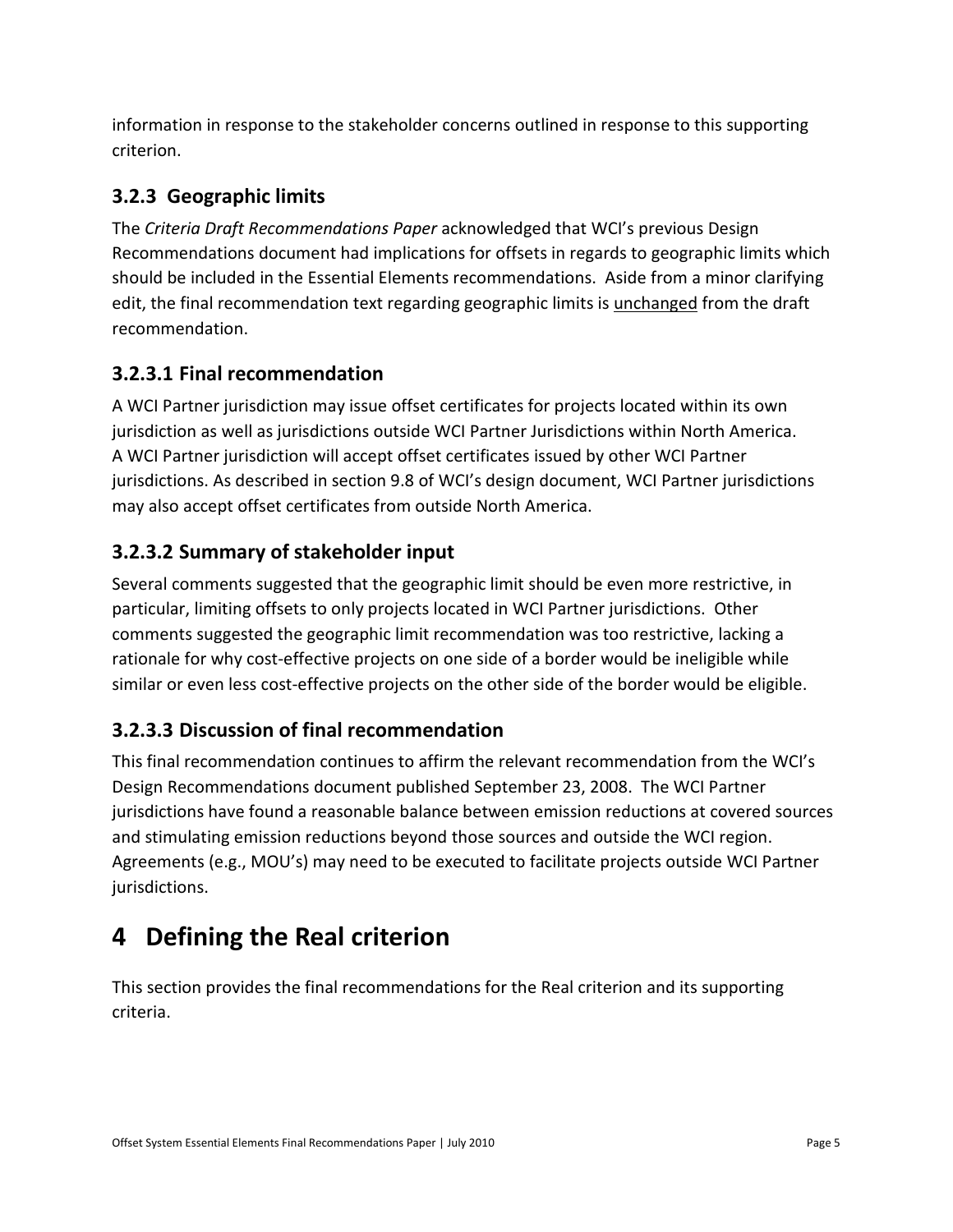information in response to the stakeholder concerns outlined in response to this supporting criterion.

#### **3.2.3 Geographic limits**

The *Criteria Draft Recommendations Paper* acknowledged that WCI's previous Design Recommendations document had implications for offsets in regards to geographic limits which should be included in the Essential Elements recommendations. Aside from a minor clarifying edit, the final recommendation text regarding geographic limits is unchanged from the draft recommendation.

#### **3.2.3.1 Final recommendation**

A WCI Partner jurisdiction may issue offset certificates for projects located within its own jurisdiction as well as jurisdictions outside WCI Partner Jurisdictions within North America. A WCI Partner jurisdiction will accept offset certificates issued by other WCI Partner jurisdictions. As described in section 9.8 of WCI's design document, WCI Partner jurisdictions may also accept offset certificates from outside North America.

#### **3.2.3.2 Summary of stakeholder input**

Several comments suggested that the geographic limit should be even more restrictive, in particular, limiting offsets to only projects located in WCI Partner jurisdictions. Other comments suggested the geographic limit recommendation was too restrictive, lacking a rationale for why cost-effective projects on one side of a border would be ineligible while similar or even less cost-effective projects on the other side of the border would be eligible.

#### **3.2.3.3 Discussion of final recommendation**

This final recommendation continues to affirm the relevant recommendation from the WCI's Design Recommendations document published September 23, 2008. The WCI Partner jurisdictions have found a reasonable balance between emission reductions at covered sources and stimulating emission reductions beyond those sources and outside the WCI region. Agreements (e.g., MOU's) may need to be executed to facilitate projects outside WCI Partner jurisdictions.

# **4 Defining the Real criterion**

This section provides the final recommendations for the Real criterion and its supporting criteria.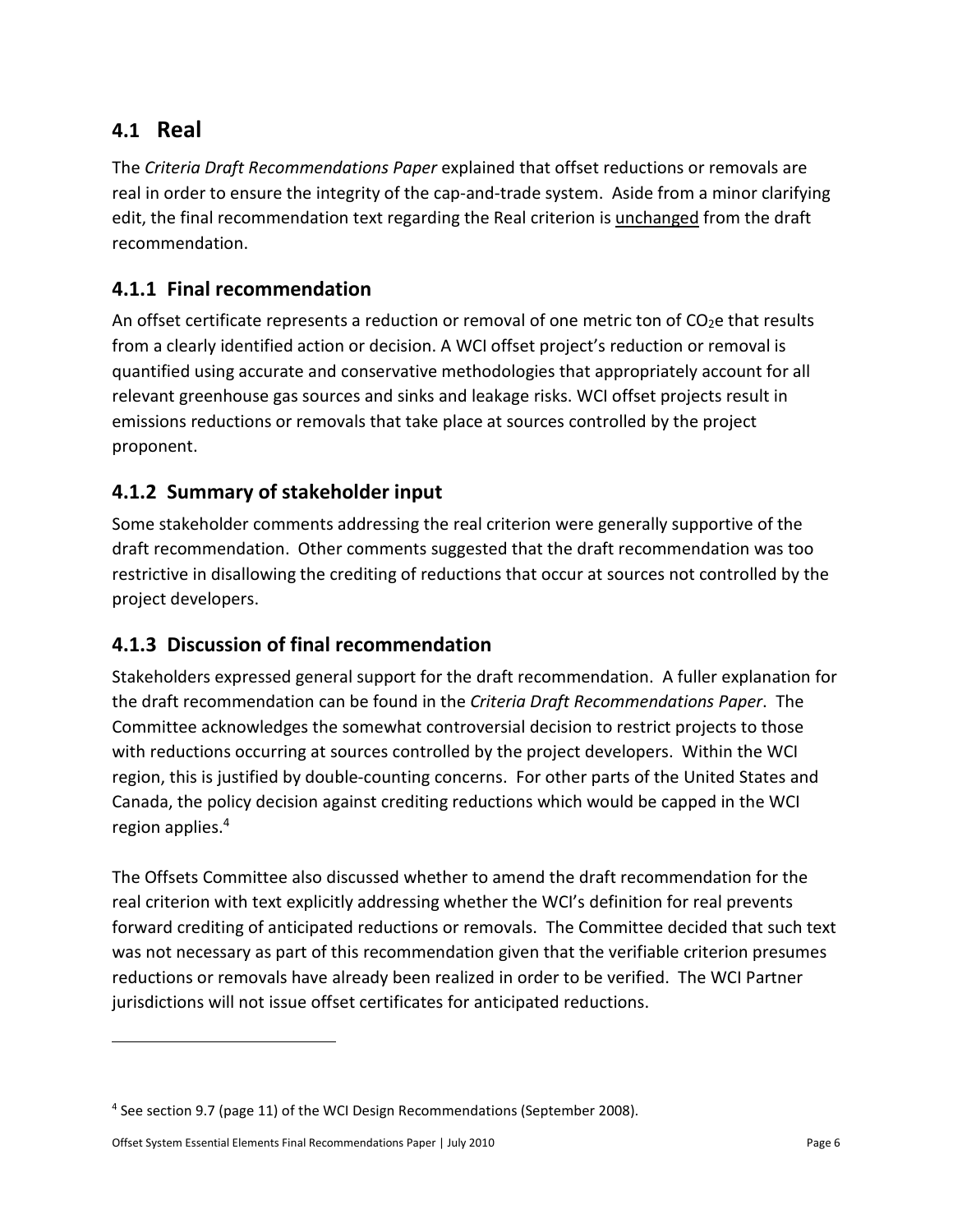### **4.1 Real**

The *Criteria Draft Recommendations Paper* explained that offset reductions or removals are real in order to ensure the integrity of the cap-and-trade system. Aside from a minor clarifying edit, the final recommendation text regarding the Real criterion is unchanged from the draft recommendation.

#### **4.1.1 Final recommendation**

An offset certificate represents a reduction or removal of one metric ton of  $CO<sub>2</sub>e$  that results from a clearly identified action or decision. A WCI offset project's reduction or removal is quantified using accurate and conservative methodologies that appropriately account for all relevant greenhouse gas sources and sinks and leakage risks. WCI offset projects result in emissions reductions or removals that take place at sources controlled by the project proponent.

#### **4.1.2 Summary of stakeholder input**

Some stakeholder comments addressing the real criterion were generally supportive of the draft recommendation. Other comments suggested that the draft recommendation was too restrictive in disallowing the crediting of reductions that occur at sources not controlled by the project developers.

#### **4.1.3 Discussion of final recommendation**

Stakeholders expressed general support for the draft recommendation. A fuller explanation for the draft recommendation can be found in the *Criteria Draft Recommendations Paper*. The Committee acknowledges the somewhat controversial decision to restrict projects to those with reductions occurring at sources controlled by the project developers. Within the WCI region, this is justified by double-counting concerns. For other parts of the United States and Canada, the policy decision against crediting reductions which would be capped in the WCI region applies.<sup>4</sup>

The Offsets Committee also discussed whether to amend the draft recommendation for the real criterion with text explicitly addressing whether the WCI's definition for real prevents forward crediting of anticipated reductions or removals. The Committee decided that such text was not necessary as part of this recommendation given that the verifiable criterion presumes reductions or removals have already been realized in order to be verified. The WCI Partner jurisdictions will not issue offset certificates for anticipated reductions.

.

<sup>&</sup>lt;sup>4</sup> See section 9.7 (page 11) of the WCI Design Recommendations (September 2008).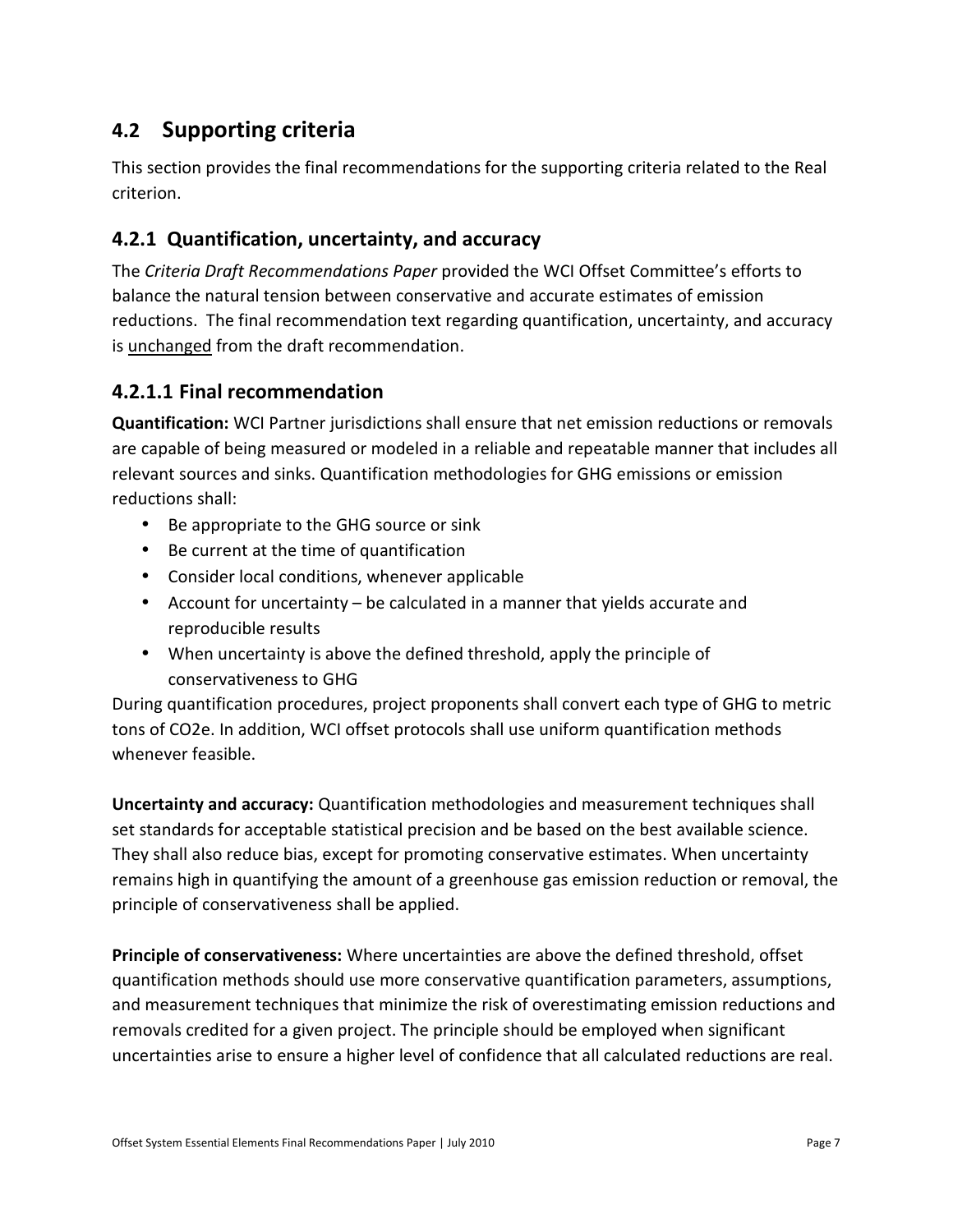### **4.2 Supporting criteria**

This section provides the final recommendations for the supporting criteria related to the Real criterion.

#### **4.2.1 Quantification, uncertainty, and accuracy**

The *Criteria Draft Recommendations Paper* provided the WCI Offset Committee's efforts to balance the natural tension between conservative and accurate estimates of emission reductions. The final recommendation text regarding quantification, uncertainty, and accuracy is unchanged from the draft recommendation.

#### **4.2.1.1 Final recommendation**

**Quantification:** WCI Partner jurisdictions shall ensure that net emission reductions or removals are capable of being measured or modeled in a reliable and repeatable manner that includes all relevant sources and sinks. Quantification methodologies for GHG emissions or emission reductions shall:

- Be appropriate to the GHG source or sink
- Be current at the time of quantification
- Consider local conditions, whenever applicable
- Account for uncertainty be calculated in a manner that yields accurate and reproducible results
- When uncertainty is above the defined threshold, apply the principle of conservativeness to GHG

During quantification procedures, project proponents shall convert each type of GHG to metric tons of CO2e. In addition, WCI offset protocols shall use uniform quantification methods whenever feasible.

**Uncertainty and accuracy:** Quantification methodologies and measurement techniques shall set standards for acceptable statistical precision and be based on the best available science. They shall also reduce bias, except for promoting conservative estimates. When uncertainty remains high in quantifying the amount of a greenhouse gas emission reduction or removal, the principle of conservativeness shall be applied.

**Principle of conservativeness:** Where uncertainties are above the defined threshold, offset quantification methods should use more conservative quantification parameters, assumptions, and measurement techniques that minimize the risk of overestimating emission reductions and removals credited for a given project. The principle should be employed when significant uncertainties arise to ensure a higher level of confidence that all calculated reductions are real.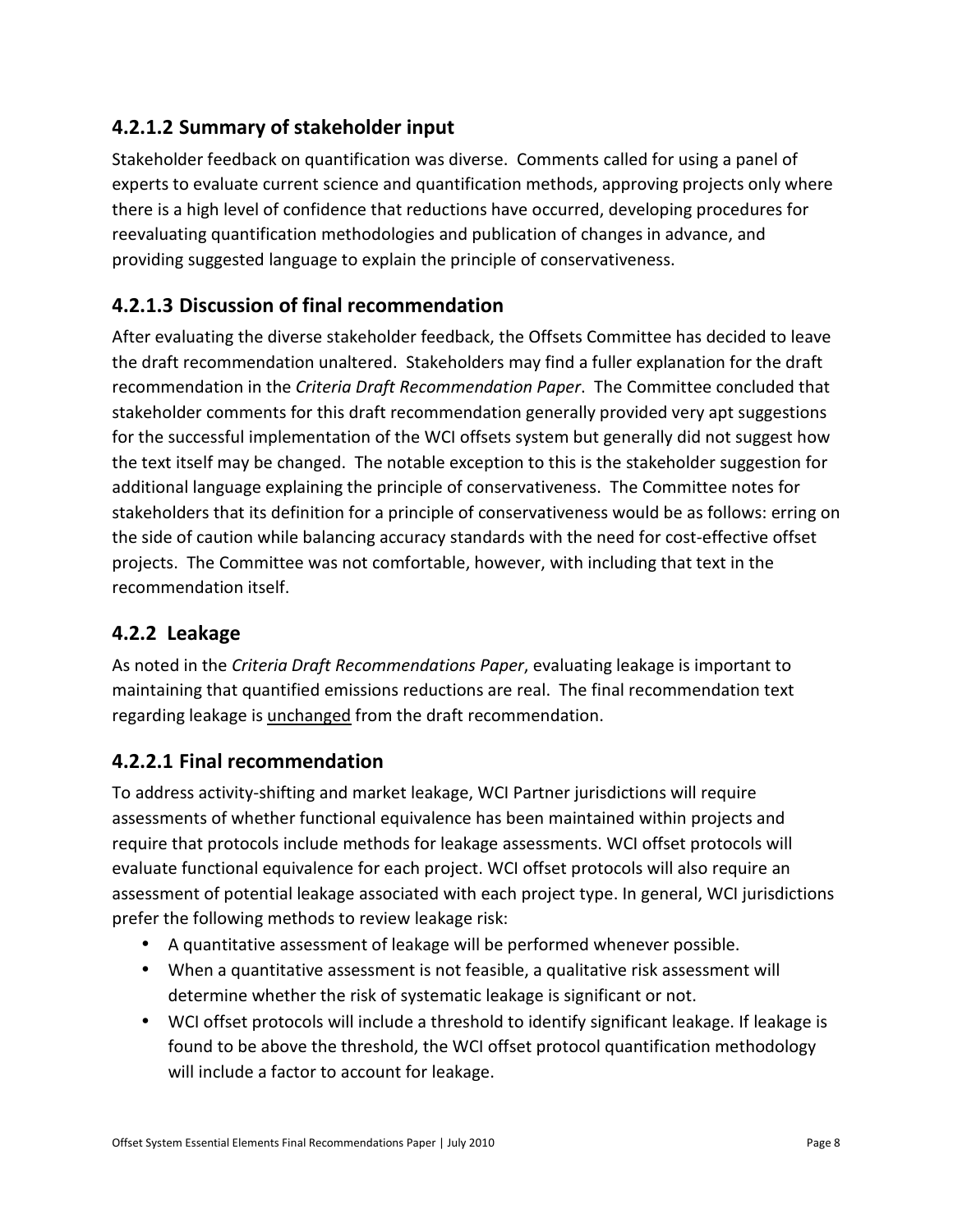#### **4.2.1.2 Summary of stakeholder input**

Stakeholder feedback on quantification was diverse. Comments called for using a panel of experts to evaluate current science and quantification methods, approving projects only where there is a high level of confidence that reductions have occurred, developing procedures for reevaluating quantification methodologies and publication of changes in advance, and providing suggested language to explain the principle of conservativeness.

#### **4.2.1.3 Discussion of final recommendation**

After evaluating the diverse stakeholder feedback, the Offsets Committee has decided to leave the draft recommendation unaltered. Stakeholders may find a fuller explanation for the draft recommendation in the *Criteria Draft Recommendation Paper*. The Committee concluded that stakeholder comments for this draft recommendation generally provided very apt suggestions for the successful implementation of the WCI offsets system but generally did not suggest how the text itself may be changed. The notable exception to this is the stakeholder suggestion for additional language explaining the principle of conservativeness. The Committee notes for stakeholders that its definition for a principle of conservativeness would be as follows: erring on the side of caution while balancing accuracy standards with the need for cost-effective offset projects. The Committee was not comfortable, however, with including that text in the recommendation itself.

#### **4.2.2 Leakage**

As noted in the *Criteria Draft Recommendations Paper*, evaluating leakage is important to maintaining that quantified emissions reductions are real. The final recommendation text regarding leakage is unchanged from the draft recommendation.

#### **4.2.2.1 Final recommendation**

To address activity-shifting and market leakage, WCI Partner jurisdictions will require assessments of whether functional equivalence has been maintained within projects and require that protocols include methods for leakage assessments. WCI offset protocols will evaluate functional equivalence for each project. WCI offset protocols will also require an assessment of potential leakage associated with each project type. In general, WCI jurisdictions prefer the following methods to review leakage risk:

- A quantitative assessment of leakage will be performed whenever possible.
- When a quantitative assessment is not feasible, a qualitative risk assessment will determine whether the risk of systematic leakage is significant or not.
- WCI offset protocols will include a threshold to identify significant leakage. If leakage is found to be above the threshold, the WCI offset protocol quantification methodology will include a factor to account for leakage.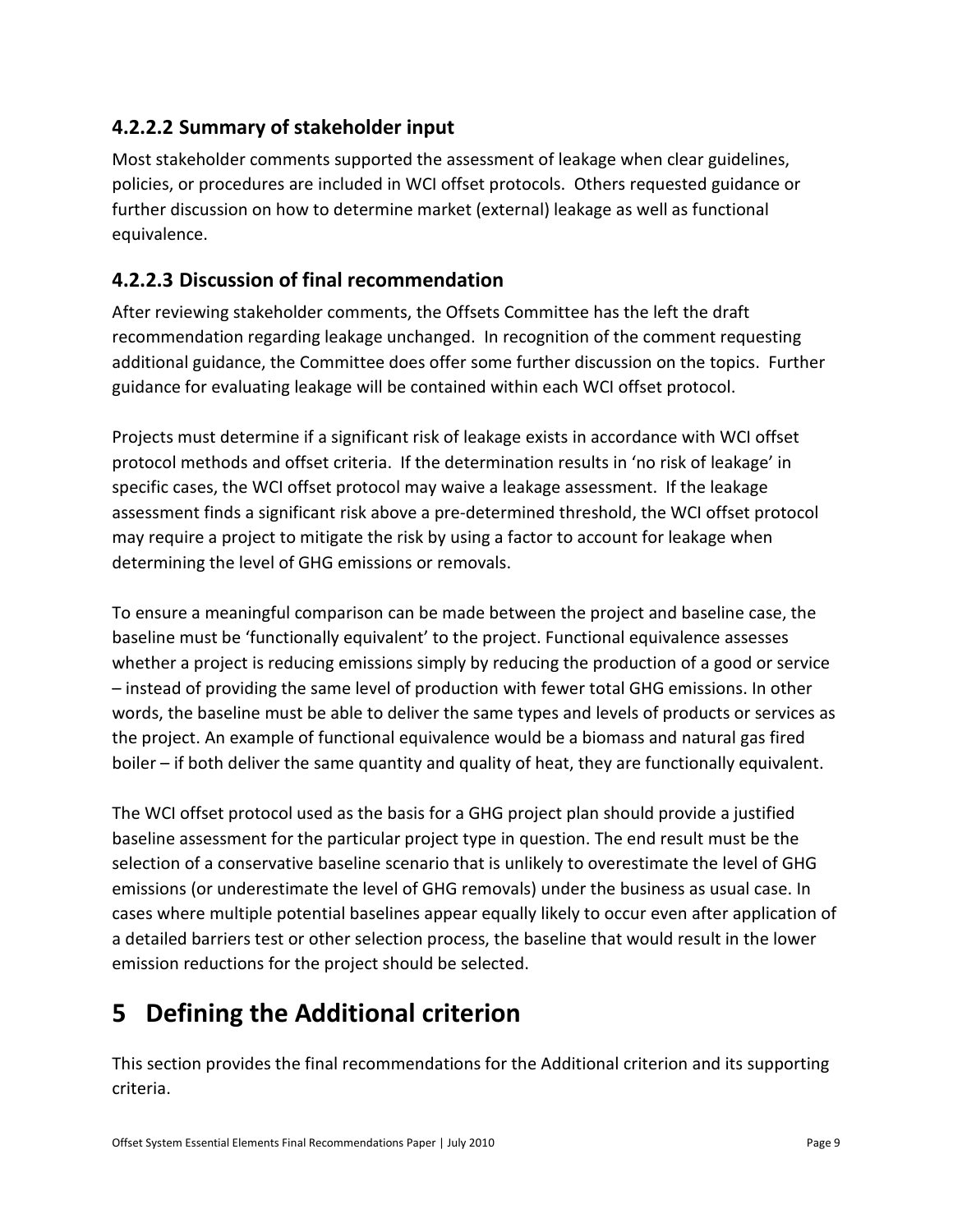#### **4.2.2.2 Summary of stakeholder input**

Most stakeholder comments supported the assessment of leakage when clear guidelines, policies, or procedures are included in WCI offset protocols. Others requested guidance or further discussion on how to determine market (external) leakage as well as functional equivalence.

#### **4.2.2.3 Discussion of final recommendation**

After reviewing stakeholder comments, the Offsets Committee has the left the draft recommendation regarding leakage unchanged. In recognition of the comment requesting additional guidance, the Committee does offer some further discussion on the topics. Further guidance for evaluating leakage will be contained within each WCI offset protocol.

Projects must determine if a significant risk of leakage exists in accordance with WCI offset protocol methods and offset criteria. If the determination results in 'no risk of leakage' in specific cases, the WCI offset protocol may waive a leakage assessment. If the leakage assessment finds a significant risk above a pre-determined threshold, the WCI offset protocol may require a project to mitigate the risk by using a factor to account for leakage when determining the level of GHG emissions or removals.

To ensure a meaningful comparison can be made between the project and baseline case, the baseline must be 'functionally equivalent' to the project. Functional equivalence assesses whether a project is reducing emissions simply by reducing the production of a good or service – instead of providing the same level of production with fewer total GHG emissions. In other words, the baseline must be able to deliver the same types and levels of products or services as the project. An example of functional equivalence would be a biomass and natural gas fired boiler – if both deliver the same quantity and quality of heat, they are functionally equivalent.

The WCI offset protocol used as the basis for a GHG project plan should provide a justified baseline assessment for the particular project type in question. The end result must be the selection of a conservative baseline scenario that is unlikely to overestimate the level of GHG emissions (or underestimate the level of GHG removals) under the business as usual case. In cases where multiple potential baselines appear equally likely to occur even after application of a detailed barriers test or other selection process, the baseline that would result in the lower emission reductions for the project should be selected.

# **5 Defining the Additional criterion**

This section provides the final recommendations for the Additional criterion and its supporting criteria.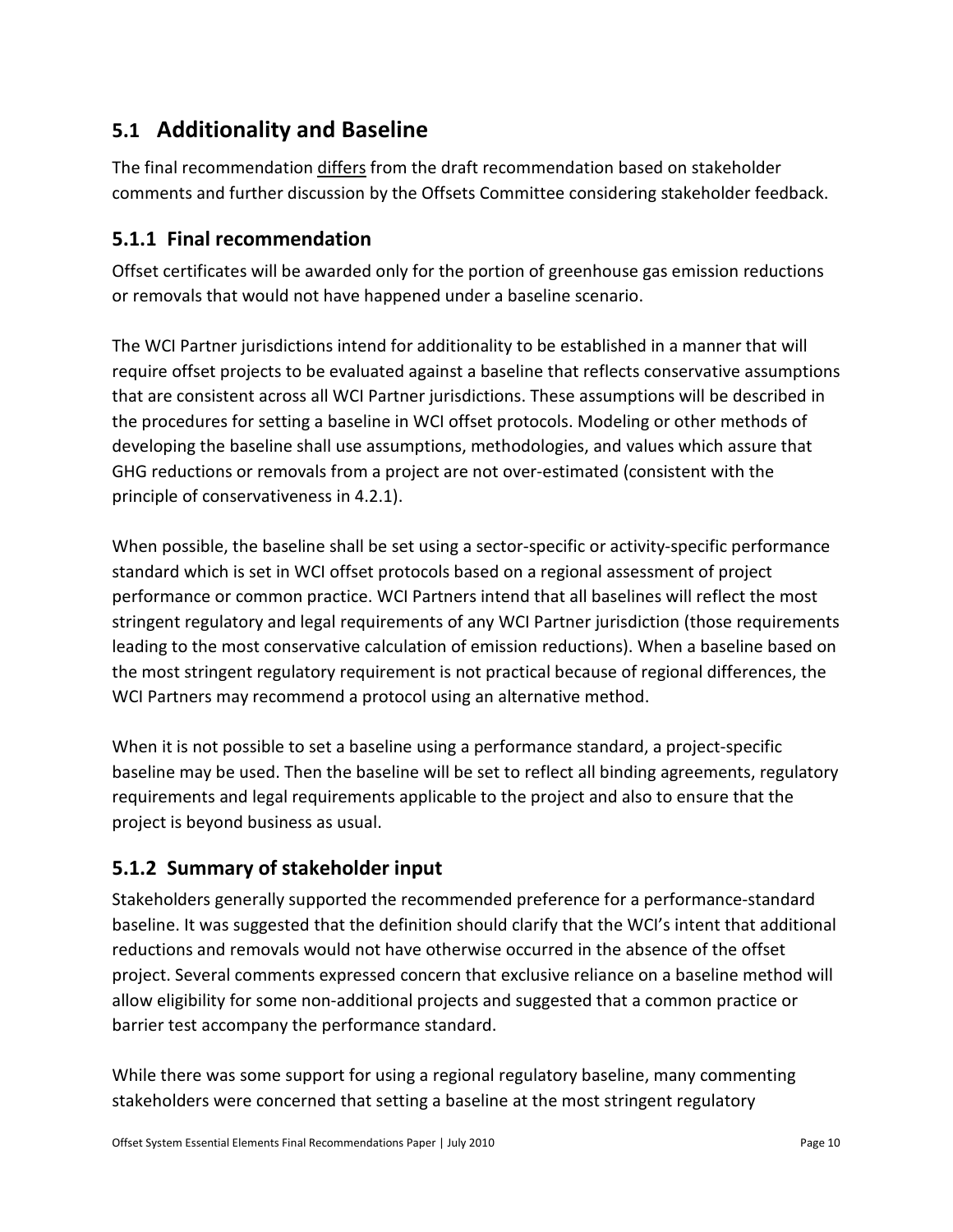### **5.1 Additionality and Baseline**

The final recommendation differs from the draft recommendation based on stakeholder comments and further discussion by the Offsets Committee considering stakeholder feedback.

#### **5.1.1 Final recommendation**

Offset certificates will be awarded only for the portion of greenhouse gas emission reductions or removals that would not have happened under a baseline scenario.

The WCI Partner jurisdictions intend for additionality to be established in a manner that will require offset projects to be evaluated against a baseline that reflects conservative assumptions that are consistent across all WCI Partner jurisdictions. These assumptions will be described in the procedures for setting a baseline in WCI offset protocols. Modeling or other methods of developing the baseline shall use assumptions, methodologies, and values which assure that GHG reductions or removals from a project are not over-estimated (consistent with the principle of conservativeness in 4.2.1).

When possible, the baseline shall be set using a sector-specific or activity-specific performance standard which is set in WCI offset protocols based on a regional assessment of project performance or common practice. WCI Partners intend that all baselines will reflect the most stringent regulatory and legal requirements of any WCI Partner jurisdiction (those requirements leading to the most conservative calculation of emission reductions). When a baseline based on the most stringent regulatory requirement is not practical because of regional differences, the WCI Partners may recommend a protocol using an alternative method.

When it is not possible to set a baseline using a performance standard, a project-specific baseline may be used. Then the baseline will be set to reflect all binding agreements, regulatory requirements and legal requirements applicable to the project and also to ensure that the project is beyond business as usual.

#### **5.1.2 Summary of stakeholder input**

Stakeholders generally supported the recommended preference for a performance-standard baseline. It was suggested that the definition should clarify that the WCI's intent that additional reductions and removals would not have otherwise occurred in the absence of the offset project. Several comments expressed concern that exclusive reliance on a baseline method will allow eligibility for some non-additional projects and suggested that a common practice or barrier test accompany the performance standard.

While there was some support for using a regional regulatory baseline, many commenting stakeholders were concerned that setting a baseline at the most stringent regulatory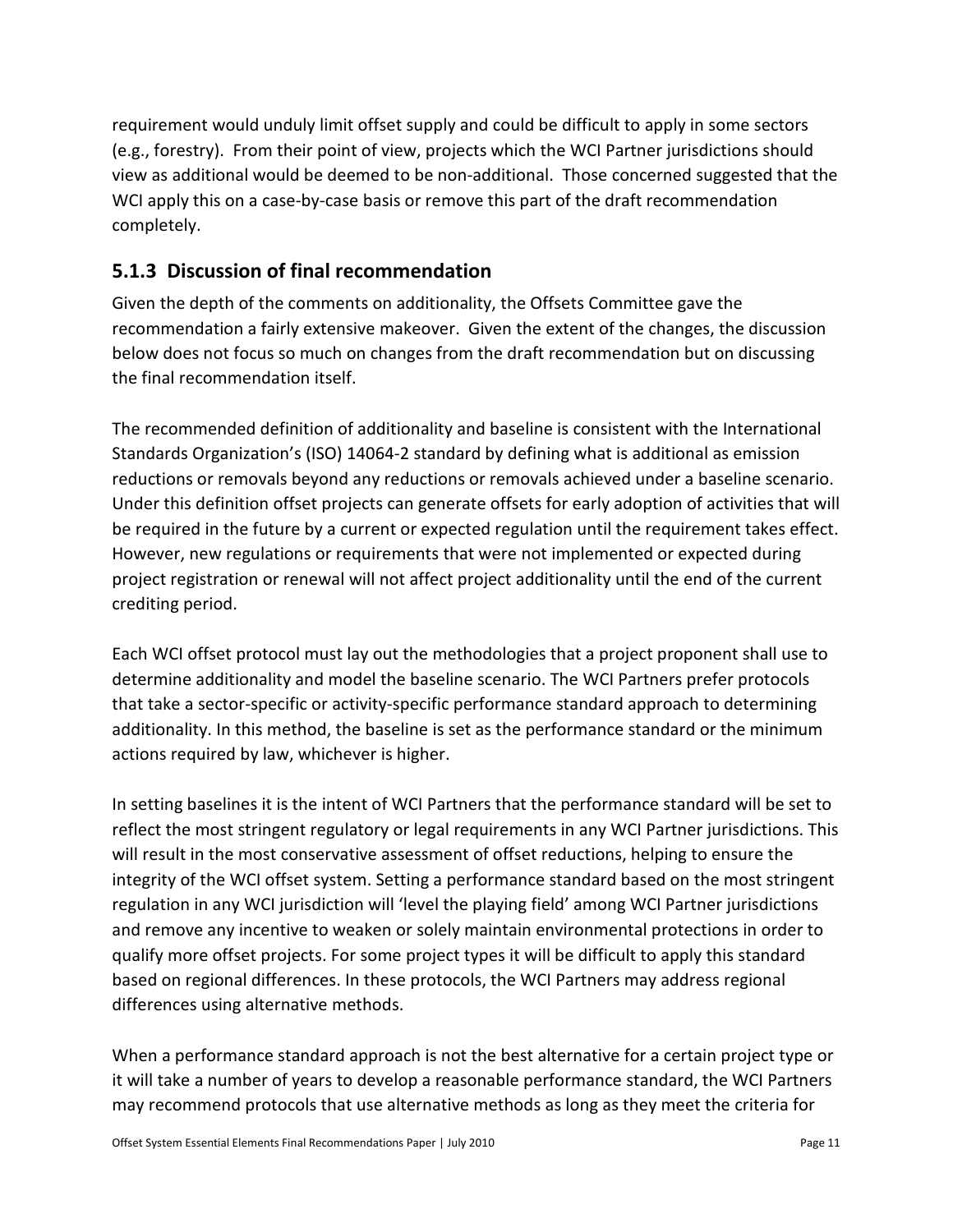requirement would unduly limit offset supply and could be difficult to apply in some sectors (e.g., forestry). From their point of view, projects which the WCI Partner jurisdictions should view as additional would be deemed to be non-additional. Those concerned suggested that the WCI apply this on a case-by-case basis or remove this part of the draft recommendation completely.

#### **5.1.3 Discussion of final recommendation**

Given the depth of the comments on additionality, the Offsets Committee gave the recommendation a fairly extensive makeover. Given the extent of the changes, the discussion below does not focus so much on changes from the draft recommendation but on discussing the final recommendation itself.

The recommended definition of additionality and baseline is consistent with the International Standards Organization's (ISO) 14064-2 standard by defining what is additional as emission reductions or removals beyond any reductions or removals achieved under a baseline scenario. Under this definition offset projects can generate offsets for early adoption of activities that will be required in the future by a current or expected regulation until the requirement takes effect. However, new regulations or requirements that were not implemented or expected during project registration or renewal will not affect project additionality until the end of the current crediting period.

Each WCI offset protocol must lay out the methodologies that a project proponent shall use to determine additionality and model the baseline scenario. The WCI Partners prefer protocols that take a sector-specific or activity-specific performance standard approach to determining additionality. In this method, the baseline is set as the performance standard or the minimum actions required by law, whichever is higher.

In setting baselines it is the intent of WCI Partners that the performance standard will be set to reflect the most stringent regulatory or legal requirements in any WCI Partner jurisdictions. This will result in the most conservative assessment of offset reductions, helping to ensure the integrity of the WCI offset system. Setting a performance standard based on the most stringent regulation in any WCI jurisdiction will 'level the playing field' among WCI Partner jurisdictions and remove any incentive to weaken or solely maintain environmental protections in order to qualify more offset projects. For some project types it will be difficult to apply this standard based on regional differences. In these protocols, the WCI Partners may address regional differences using alternative methods.

When a performance standard approach is not the best alternative for a certain project type or it will take a number of years to develop a reasonable performance standard, the WCI Partners may recommend protocols that use alternative methods as long as they meet the criteria for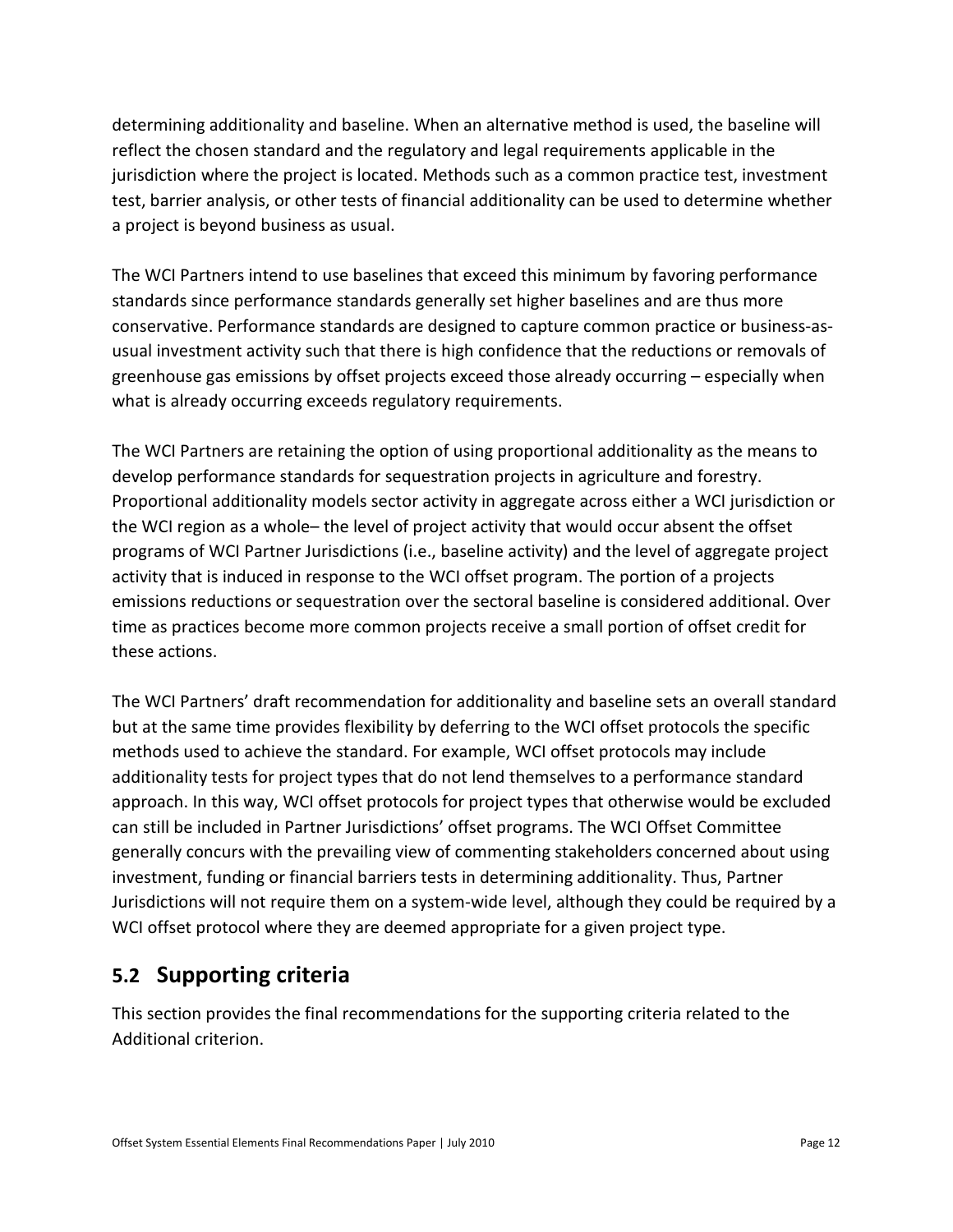determining additionality and baseline. When an alternative method is used, the baseline will reflect the chosen standard and the regulatory and legal requirements applicable in the jurisdiction where the project is located. Methods such as a common practice test, investment test, barrier analysis, or other tests of financial additionality can be used to determine whether a project is beyond business as usual.

The WCI Partners intend to use baselines that exceed this minimum by favoring performance standards since performance standards generally set higher baselines and are thus more conservative. Performance standards are designed to capture common practice or business-asusual investment activity such that there is high confidence that the reductions or removals of greenhouse gas emissions by offset projects exceed those already occurring – especially when what is already occurring exceeds regulatory requirements.

The WCI Partners are retaining the option of using proportional additionality as the means to develop performance standards for sequestration projects in agriculture and forestry. Proportional additionality models sector activity in aggregate across either a WCI jurisdiction or the WCI region as a whole– the level of project activity that would occur absent the offset programs of WCI Partner Jurisdictions (i.e., baseline activity) and the level of aggregate project activity that is induced in response to the WCI offset program. The portion of a projects emissions reductions or sequestration over the sectoral baseline is considered additional. Over time as practices become more common projects receive a small portion of offset credit for these actions.

The WCI Partners' draft recommendation for additionality and baseline sets an overall standard but at the same time provides flexibility by deferring to the WCI offset protocols the specific methods used to achieve the standard. For example, WCI offset protocols may include additionality tests for project types that do not lend themselves to a performance standard approach. In this way, WCI offset protocols for project types that otherwise would be excluded can still be included in Partner Jurisdictions' offset programs. The WCI Offset Committee generally concurs with the prevailing view of commenting stakeholders concerned about using investment, funding or financial barriers tests in determining additionality. Thus, Partner Jurisdictions will not require them on a system-wide level, although they could be required by a WCI offset protocol where they are deemed appropriate for a given project type.

### **5.2 Supporting criteria**

This section provides the final recommendations for the supporting criteria related to the Additional criterion.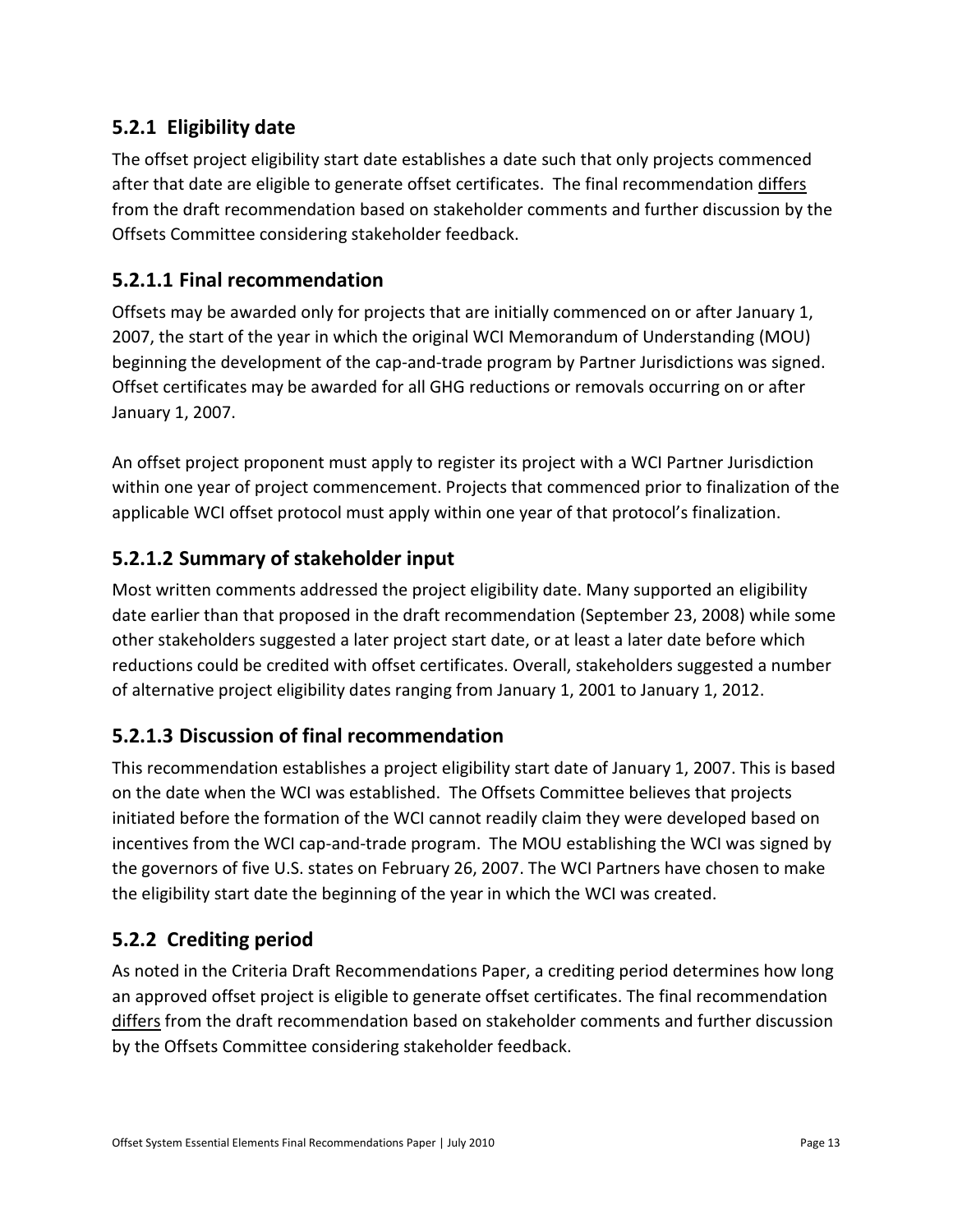#### **5.2.1 Eligibility date**

The offset project eligibility start date establishes a date such that only projects commenced after that date are eligible to generate offset certificates. The final recommendation differs from the draft recommendation based on stakeholder comments and further discussion by the Offsets Committee considering stakeholder feedback.

#### **5.2.1.1 Final recommendation**

Offsets may be awarded only for projects that are initially commenced on or after January 1, 2007, the start of the year in which the original WCI Memorandum of Understanding (MOU) beginning the development of the cap-and-trade program by Partner Jurisdictions was signed. Offset certificates may be awarded for all GHG reductions or removals occurring on or after January 1, 2007.

An offset project proponent must apply to register its project with a WCI Partner Jurisdiction within one year of project commencement. Projects that commenced prior to finalization of the applicable WCI offset protocol must apply within one year of that protocol's finalization.

#### **5.2.1.2 Summary of stakeholder input**

Most written comments addressed the project eligibility date. Many supported an eligibility date earlier than that proposed in the draft recommendation (September 23, 2008) while some other stakeholders suggested a later project start date, or at least a later date before which reductions could be credited with offset certificates. Overall, stakeholders suggested a number of alternative project eligibility dates ranging from January 1, 2001 to January 1, 2012.

#### **5.2.1.3 Discussion of final recommendation**

This recommendation establishes a project eligibility start date of January 1, 2007. This is based on the date when the WCI was established. The Offsets Committee believes that projects initiated before the formation of the WCI cannot readily claim they were developed based on incentives from the WCI cap-and-trade program. The MOU establishing the WCI was signed by the governors of five U.S. states on February 26, 2007. The WCI Partners have chosen to make the eligibility start date the beginning of the year in which the WCI was created.

### **5.2.2 Crediting period**

As noted in the Criteria Draft Recommendations Paper, a crediting period determines how long an approved offset project is eligible to generate offset certificates. The final recommendation differs from the draft recommendation based on stakeholder comments and further discussion by the Offsets Committee considering stakeholder feedback.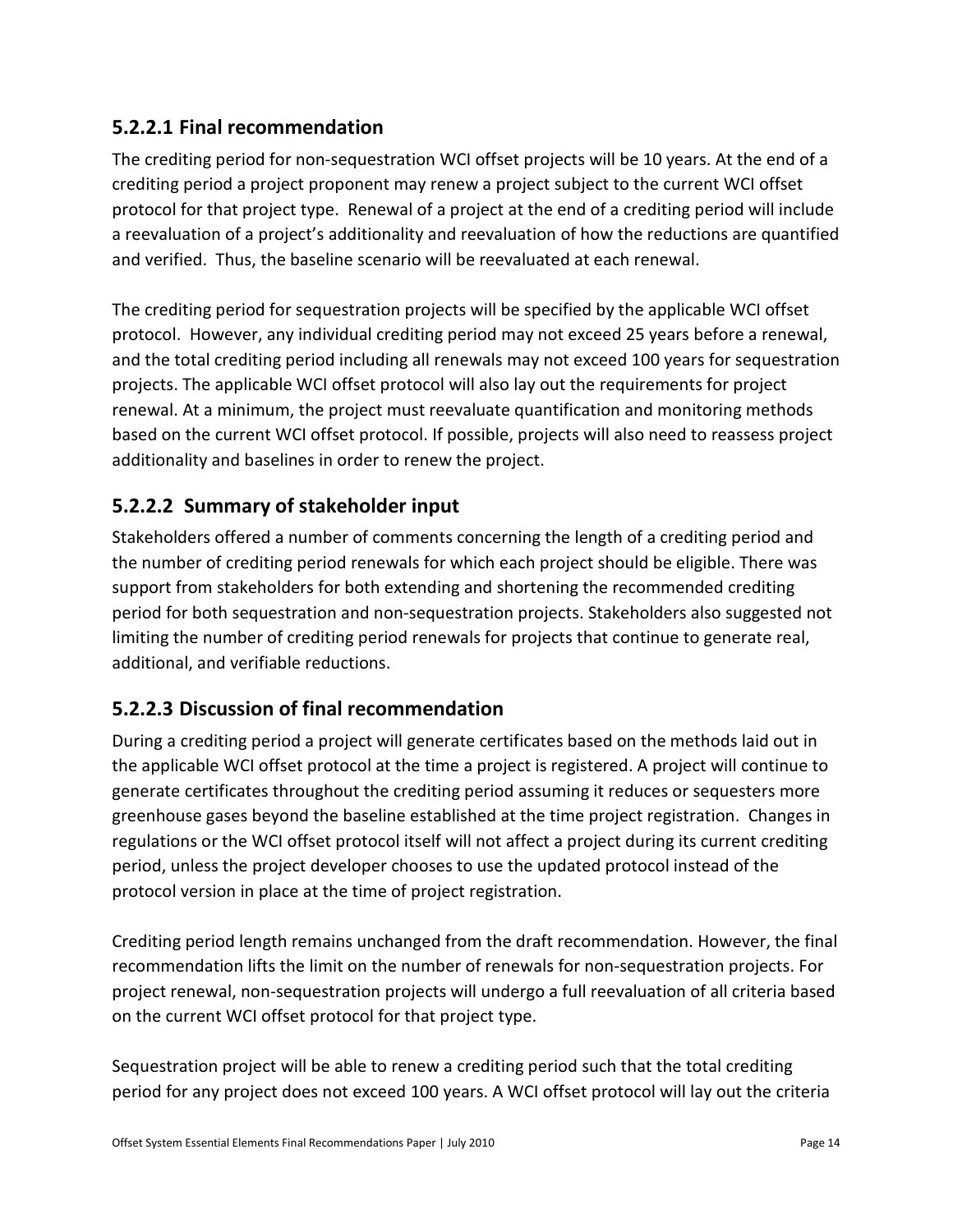#### **5.2.2.1 Final recommendation**

The crediting period for non-sequestration WCI offset projects will be 10 years. At the end of a crediting period a project proponent may renew a project subject to the current WCI offset protocol for that project type. Renewal of a project at the end of a crediting period will include a reevaluation of a project's additionality and reevaluation of how the reductions are quantified and verified. Thus, the baseline scenario will be reevaluated at each renewal.

The crediting period for sequestration projects will be specified by the applicable WCI offset protocol. However, any individual crediting period may not exceed 25 years before a renewal, and the total crediting period including all renewals may not exceed 100 years for sequestration projects. The applicable WCI offset protocol will also lay out the requirements for project renewal. At a minimum, the project must reevaluate quantification and monitoring methods based on the current WCI offset protocol. If possible, projects will also need to reassess project additionality and baselines in order to renew the project.

#### **5.2.2.2 Summary of stakeholder input**

Stakeholders offered a number of comments concerning the length of a crediting period and the number of crediting period renewals for which each project should be eligible. There was support from stakeholders for both extending and shortening the recommended crediting period for both sequestration and non-sequestration projects. Stakeholders also suggested not limiting the number of crediting period renewals for projects that continue to generate real, additional, and verifiable reductions.

#### **5.2.2.3 Discussion of final recommendation**

During a crediting period a project will generate certificates based on the methods laid out in the applicable WCI offset protocol at the time a project is registered. A project will continue to generate certificates throughout the crediting period assuming it reduces or sequesters more greenhouse gases beyond the baseline established at the time project registration. Changes in regulations or the WCI offset protocol itself will not affect a project during its current crediting period, unless the project developer chooses to use the updated protocol instead of the protocol version in place at the time of project registration.

Crediting period length remains unchanged from the draft recommendation. However, the final recommendation lifts the limit on the number of renewals for non-sequestration projects. For project renewal, non-sequestration projects will undergo a full reevaluation of all criteria based on the current WCI offset protocol for that project type.

Sequestration project will be able to renew a crediting period such that the total crediting period for any project does not exceed 100 years. A WCI offset protocol will lay out the criteria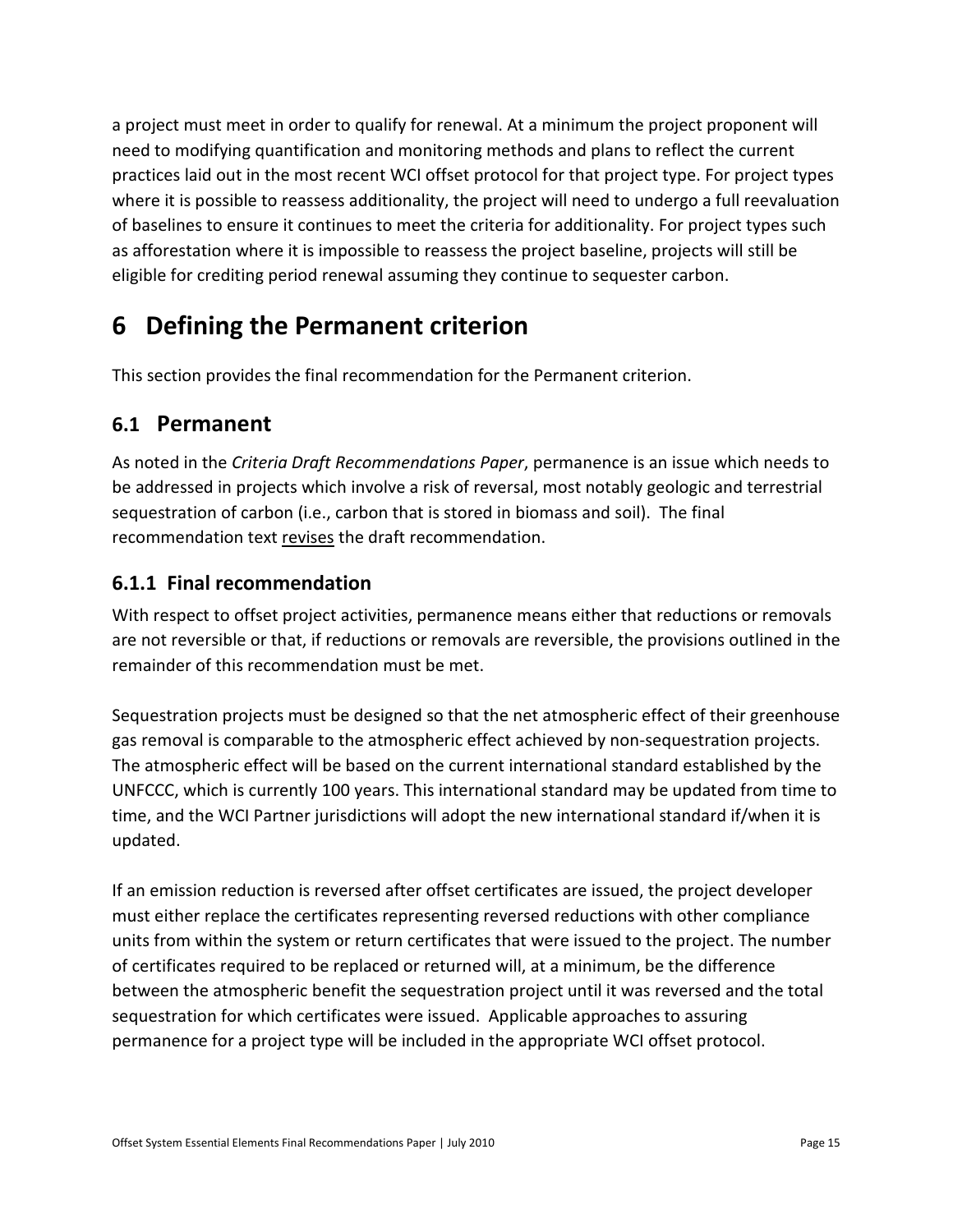a project must meet in order to qualify for renewal. At a minimum the project proponent will need to modifying quantification and monitoring methods and plans to reflect the current practices laid out in the most recent WCI offset protocol for that project type. For project types where it is possible to reassess additionality, the project will need to undergo a full reevaluation of baselines to ensure it continues to meet the criteria for additionality. For project types such as afforestation where it is impossible to reassess the project baseline, projects will still be eligible for crediting period renewal assuming they continue to sequester carbon.

# **6 Defining the Permanent criterion**

This section provides the final recommendation for the Permanent criterion.

### **6.1 Permanent**

As noted in the *Criteria Draft Recommendations Paper*, permanence is an issue which needs to be addressed in projects which involve a risk of reversal, most notably geologic and terrestrial sequestration of carbon (i.e., carbon that is stored in biomass and soil). The final recommendation text revises the draft recommendation.

#### **6.1.1 Final recommendation**

With respect to offset project activities, permanence means either that reductions or removals are not reversible or that, if reductions or removals are reversible, the provisions outlined in the remainder of this recommendation must be met.

Sequestration projects must be designed so that the net atmospheric effect of their greenhouse gas removal is comparable to the atmospheric effect achieved by non-sequestration projects. The atmospheric effect will be based on the current international standard established by the UNFCCC, which is currently 100 years. This international standard may be updated from time to time, and the WCI Partner jurisdictions will adopt the new international standard if/when it is updated.

If an emission reduction is reversed after offset certificates are issued, the project developer must either replace the certificates representing reversed reductions with other compliance units from within the system or return certificates that were issued to the project. The number of certificates required to be replaced or returned will, at a minimum, be the difference between the atmospheric benefit the sequestration project until it was reversed and the total sequestration for which certificates were issued. Applicable approaches to assuring permanence for a project type will be included in the appropriate WCI offset protocol.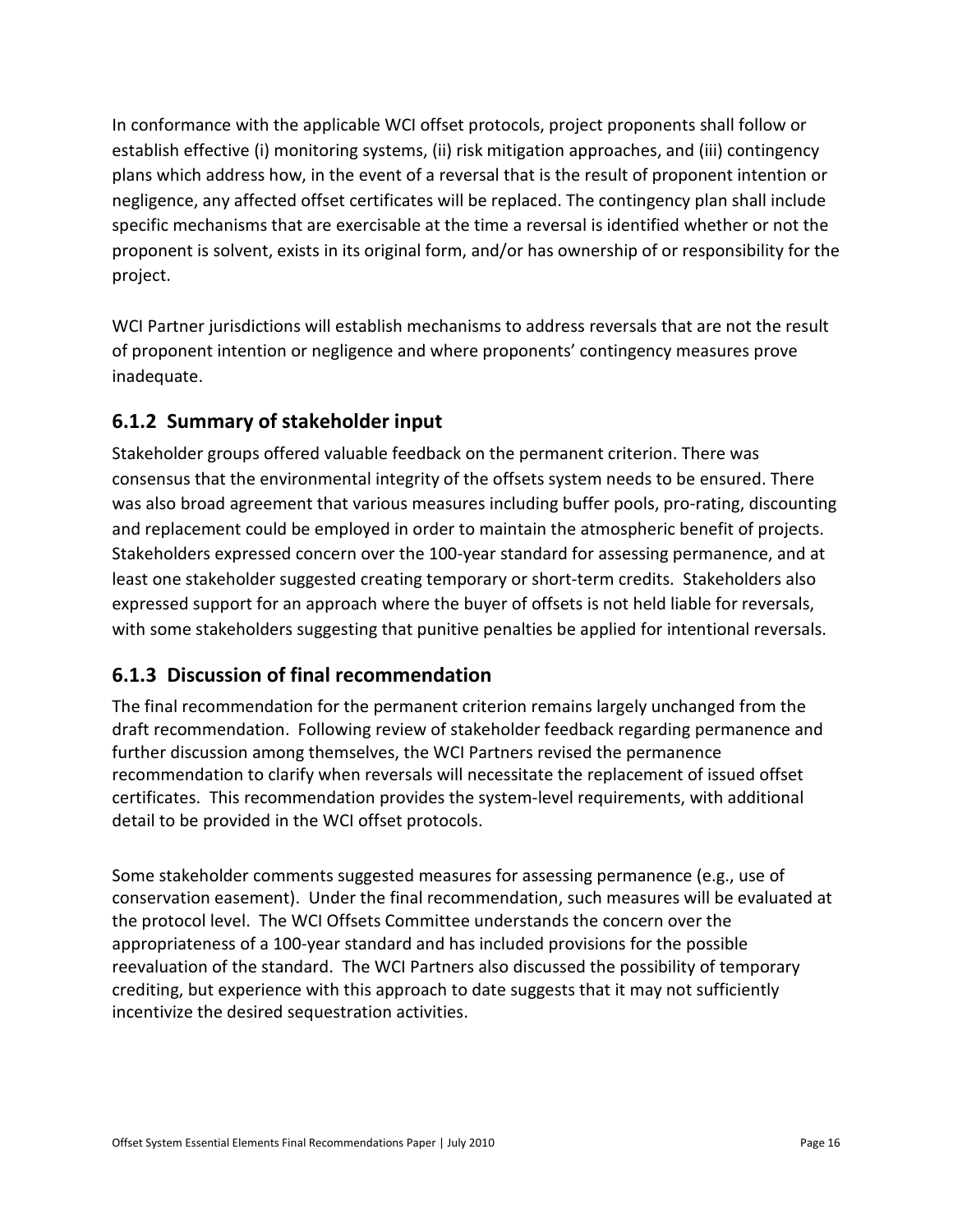In conformance with the applicable WCI offset protocols, project proponents shall follow or establish effective (i) monitoring systems, (ii) risk mitigation approaches, and (iii) contingency plans which address how, in the event of a reversal that is the result of proponent intention or negligence, any affected offset certificates will be replaced. The contingency plan shall include specific mechanisms that are exercisable at the time a reversal is identified whether or not the proponent is solvent, exists in its original form, and/or has ownership of or responsibility for the project.

WCI Partner jurisdictions will establish mechanisms to address reversals that are not the result of proponent intention or negligence and where proponents' contingency measures prove inadequate.

#### **6.1.2 Summary of stakeholder input**

Stakeholder groups offered valuable feedback on the permanent criterion. There was consensus that the environmental integrity of the offsets system needs to be ensured. There was also broad agreement that various measures including buffer pools, pro-rating, discounting and replacement could be employed in order to maintain the atmospheric benefit of projects. Stakeholders expressed concern over the 100-year standard for assessing permanence, and at least one stakeholder suggested creating temporary or short-term credits. Stakeholders also expressed support for an approach where the buyer of offsets is not held liable for reversals, with some stakeholders suggesting that punitive penalties be applied for intentional reversals.

#### **6.1.3 Discussion of final recommendation**

The final recommendation for the permanent criterion remains largely unchanged from the draft recommendation. Following review of stakeholder feedback regarding permanence and further discussion among themselves, the WCI Partners revised the permanence recommendation to clarify when reversals will necessitate the replacement of issued offset certificates. This recommendation provides the system-level requirements, with additional detail to be provided in the WCI offset protocols.

Some stakeholder comments suggested measures for assessing permanence (e.g., use of conservation easement). Under the final recommendation, such measures will be evaluated at the protocol level. The WCI Offsets Committee understands the concern over the appropriateness of a 100-year standard and has included provisions for the possible reevaluation of the standard. The WCI Partners also discussed the possibility of temporary crediting, but experience with this approach to date suggests that it may not sufficiently incentivize the desired sequestration activities.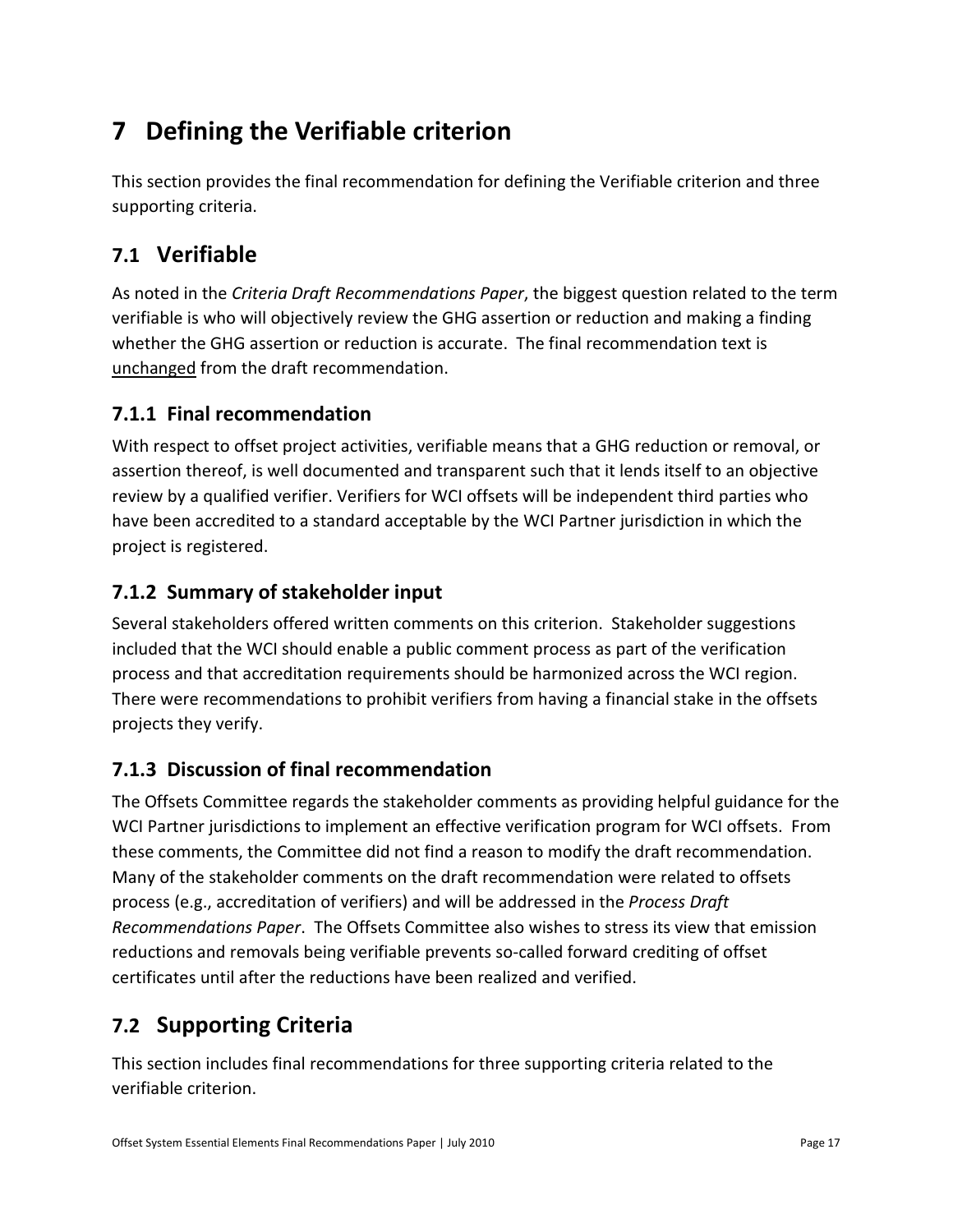# **7 Defining the Verifiable criterion**

This section provides the final recommendation for defining the Verifiable criterion and three supporting criteria.

## **7.1 Verifiable**

As noted in the *Criteria Draft Recommendations Paper*, the biggest question related to the term verifiable is who will objectively review the GHG assertion or reduction and making a finding whether the GHG assertion or reduction is accurate. The final recommendation text is unchanged from the draft recommendation.

#### **7.1.1 Final recommendation**

With respect to offset project activities, verifiable means that a GHG reduction or removal, or assertion thereof, is well documented and transparent such that it lends itself to an objective review by a qualified verifier. Verifiers for WCI offsets will be independent third parties who have been accredited to a standard acceptable by the WCI Partner jurisdiction in which the project is registered.

#### **7.1.2 Summary of stakeholder input**

Several stakeholders offered written comments on this criterion. Stakeholder suggestions included that the WCI should enable a public comment process as part of the verification process and that accreditation requirements should be harmonized across the WCI region. There were recommendations to prohibit verifiers from having a financial stake in the offsets projects they verify.

#### **7.1.3 Discussion of final recommendation**

The Offsets Committee regards the stakeholder comments as providing helpful guidance for the WCI Partner jurisdictions to implement an effective verification program for WCI offsets. From these comments, the Committee did not find a reason to modify the draft recommendation. Many of the stakeholder comments on the draft recommendation were related to offsets process (e.g., accreditation of verifiers) and will be addressed in the *Process Draft Recommendations Paper*. The Offsets Committee also wishes to stress its view that emission reductions and removals being verifiable prevents so-called forward crediting of offset certificates until after the reductions have been realized and verified.

# **7.2 Supporting Criteria**

This section includes final recommendations for three supporting criteria related to the verifiable criterion.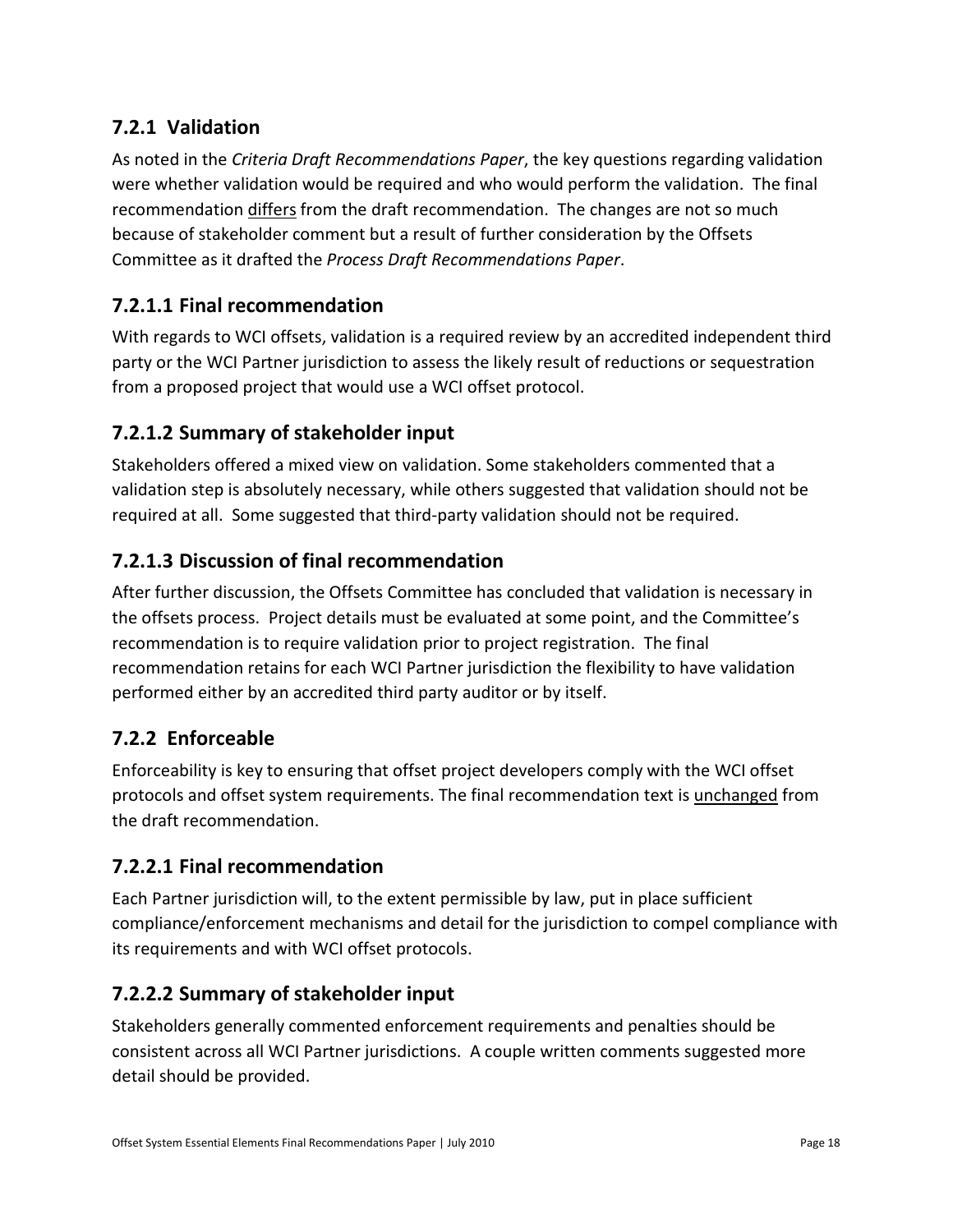#### **7.2.1 Validation**

As noted in the *Criteria Draft Recommendations Paper*, the key questions regarding validation were whether validation would be required and who would perform the validation. The final recommendation differs from the draft recommendation. The changes are not so much because of stakeholder comment but a result of further consideration by the Offsets Committee as it drafted the *Process Draft Recommendations Paper*.

#### **7.2.1.1 Final recommendation**

With regards to WCI offsets, validation is a required review by an accredited independent third party or the WCI Partner jurisdiction to assess the likely result of reductions or sequestration from a proposed project that would use a WCI offset protocol.

#### **7.2.1.2 Summary of stakeholder input**

Stakeholders offered a mixed view on validation. Some stakeholders commented that a validation step is absolutely necessary, while others suggested that validation should not be required at all. Some suggested that third-party validation should not be required.

#### **7.2.1.3 Discussion of final recommendation**

After further discussion, the Offsets Committee has concluded that validation is necessary in the offsets process. Project details must be evaluated at some point, and the Committee's recommendation is to require validation prior to project registration. The final recommendation retains for each WCI Partner jurisdiction the flexibility to have validation performed either by an accredited third party auditor or by itself.

#### **7.2.2 Enforceable**

Enforceability is key to ensuring that offset project developers comply with the WCI offset protocols and offset system requirements. The final recommendation text is unchanged from the draft recommendation.

#### **7.2.2.1 Final recommendation**

Each Partner jurisdiction will, to the extent permissible by law, put in place sufficient compliance/enforcement mechanisms and detail for the jurisdiction to compel compliance with its requirements and with WCI offset protocols.

#### **7.2.2.2 Summary of stakeholder input**

Stakeholders generally commented enforcement requirements and penalties should be consistent across all WCI Partner jurisdictions. A couple written comments suggested more detail should be provided.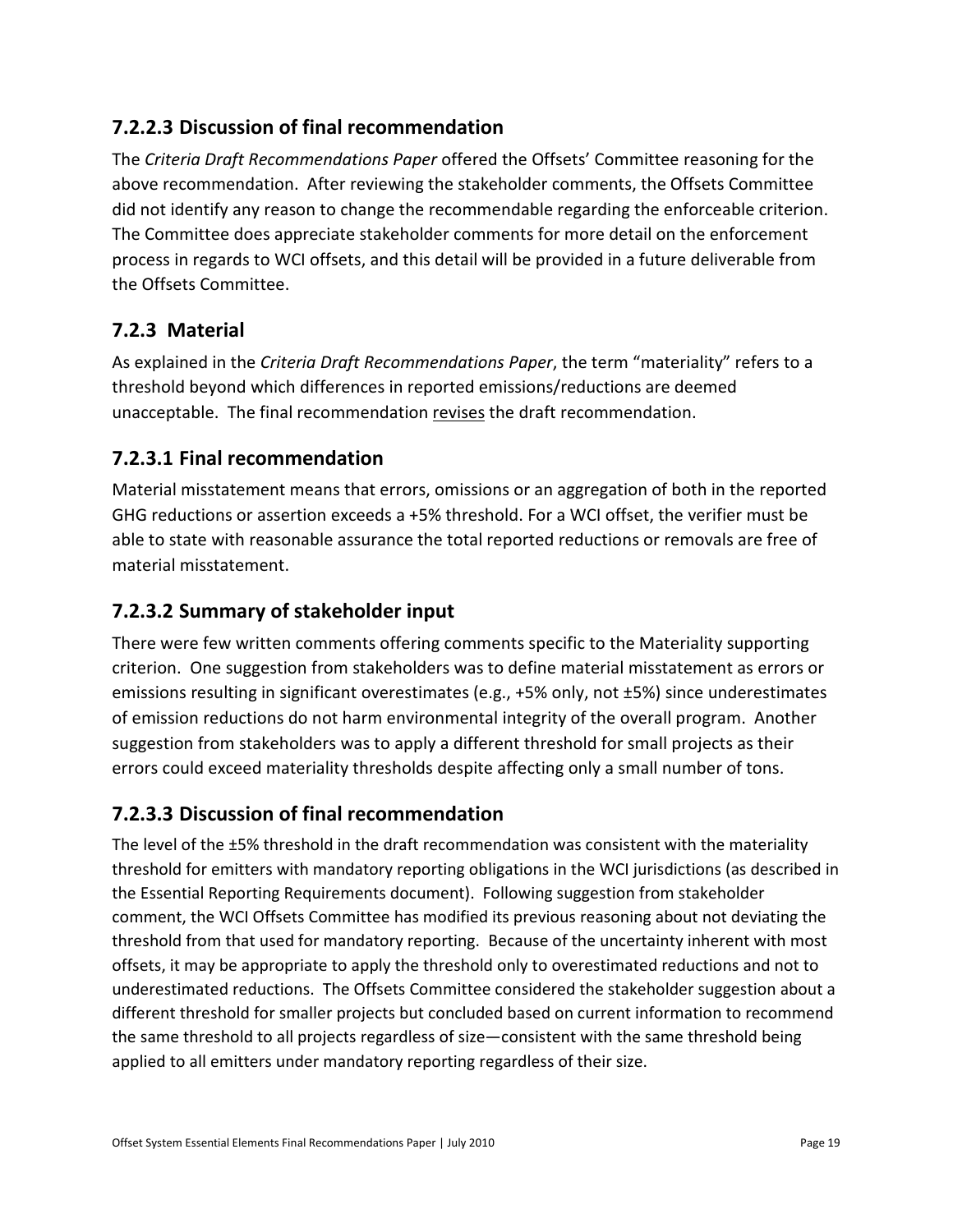#### **7.2.2.3 Discussion of final recommendation**

The *Criteria Draft Recommendations Paper* offered the Offsets' Committee reasoning for the above recommendation. After reviewing the stakeholder comments, the Offsets Committee did not identify any reason to change the recommendable regarding the enforceable criterion. The Committee does appreciate stakeholder comments for more detail on the enforcement process in regards to WCI offsets, and this detail will be provided in a future deliverable from the Offsets Committee.

#### **7.2.3 Material**

As explained in the *Criteria Draft Recommendations Paper*, the term "materiality" refers to a threshold beyond which differences in reported emissions/reductions are deemed unacceptable. The final recommendation revises the draft recommendation.

#### **7.2.3.1 Final recommendation**

Material misstatement means that errors, omissions or an aggregation of both in the reported GHG reductions or assertion exceeds a +5% threshold. For a WCI offset, the verifier must be able to state with reasonable assurance the total reported reductions or removals are free of material misstatement.

#### **7.2.3.2 Summary of stakeholder input**

There were few written comments offering comments specific to the Materiality supporting criterion. One suggestion from stakeholders was to define material misstatement as errors or emissions resulting in significant overestimates (e.g., +5% only, not ±5%) since underestimates of emission reductions do not harm environmental integrity of the overall program. Another suggestion from stakeholders was to apply a different threshold for small projects as their errors could exceed materiality thresholds despite affecting only a small number of tons.

#### **7.2.3.3 Discussion of final recommendation**

The level of the ±5% threshold in the draft recommendation was consistent with the materiality threshold for emitters with mandatory reporting obligations in the WCI jurisdictions (as described in the Essential Reporting Requirements document). Following suggestion from stakeholder comment, the WCI Offsets Committee has modified its previous reasoning about not deviating the threshold from that used for mandatory reporting. Because of the uncertainty inherent with most offsets, it may be appropriate to apply the threshold only to overestimated reductions and not to underestimated reductions. The Offsets Committee considered the stakeholder suggestion about a different threshold for smaller projects but concluded based on current information to recommend the same threshold to all projects regardless of size—consistent with the same threshold being applied to all emitters under mandatory reporting regardless of their size.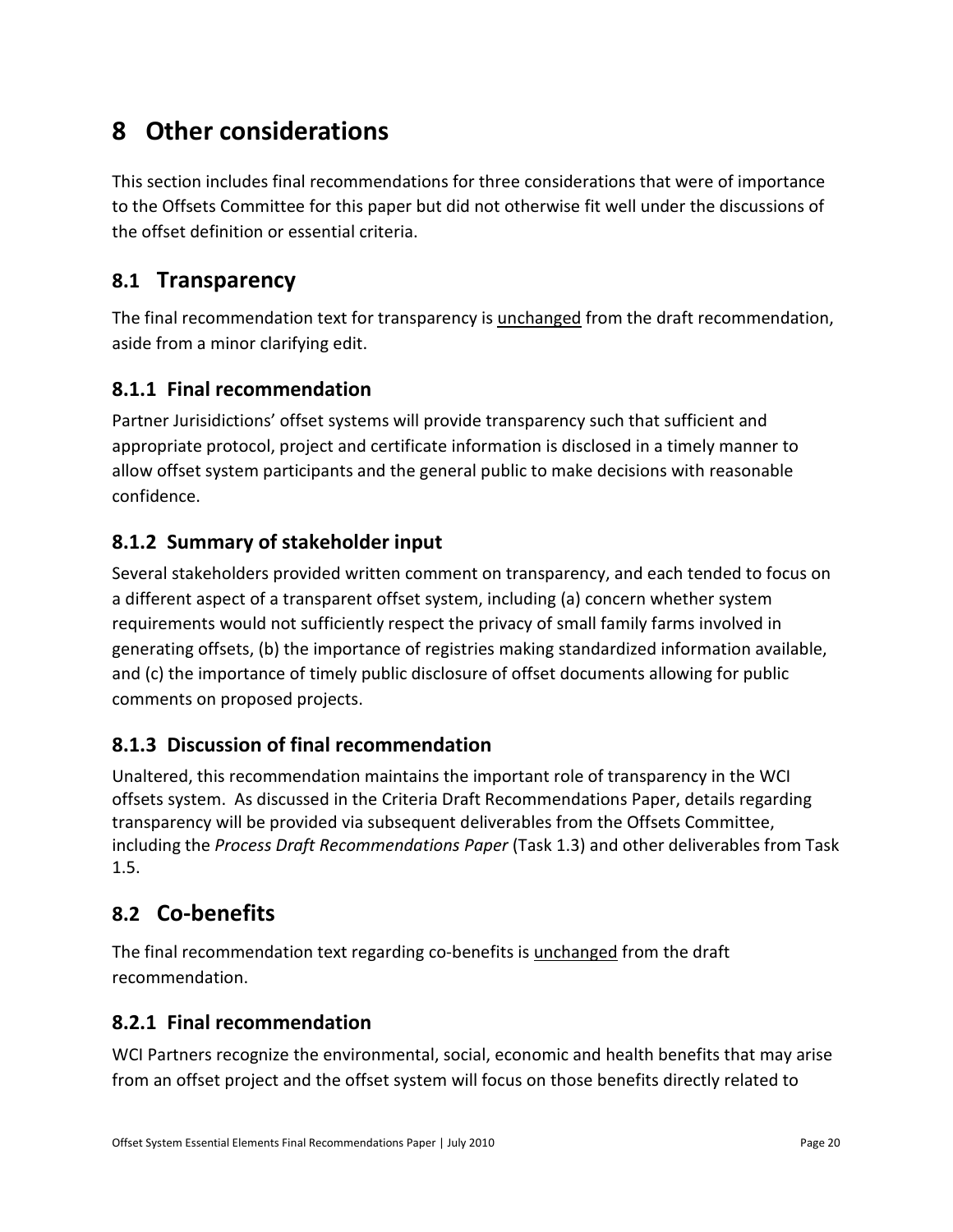# **8 Other considerations**

This section includes final recommendations for three considerations that were of importance to the Offsets Committee for this paper but did not otherwise fit well under the discussions of the offset definition or essential criteria.

### **8.1 Transparency**

The final recommendation text for transparency is unchanged from the draft recommendation, aside from a minor clarifying edit.

#### **8.1.1 Final recommendation**

Partner Jurisidictions' offset systems will provide transparency such that sufficient and appropriate protocol, project and certificate information is disclosed in a timely manner to allow offset system participants and the general public to make decisions with reasonable confidence.

#### **8.1.2 Summary of stakeholder input**

Several stakeholders provided written comment on transparency, and each tended to focus on a different aspect of a transparent offset system, including (a) concern whether system requirements would not sufficiently respect the privacy of small family farms involved in generating offsets, (b) the importance of registries making standardized information available, and (c) the importance of timely public disclosure of offset documents allowing for public comments on proposed projects.

#### **8.1.3 Discussion of final recommendation**

Unaltered, this recommendation maintains the important role of transparency in the WCI offsets system. As discussed in the Criteria Draft Recommendations Paper, details regarding transparency will be provided via subsequent deliverables from the Offsets Committee, including the *Process Draft Recommendations Paper* (Task 1.3) and other deliverables from Task 1.5.

### **8.2 Co-benefits**

The final recommendation text regarding co-benefits is unchanged from the draft recommendation.

#### **8.2.1 Final recommendation**

WCI Partners recognize the environmental, social, economic and health benefits that may arise from an offset project and the offset system will focus on those benefits directly related to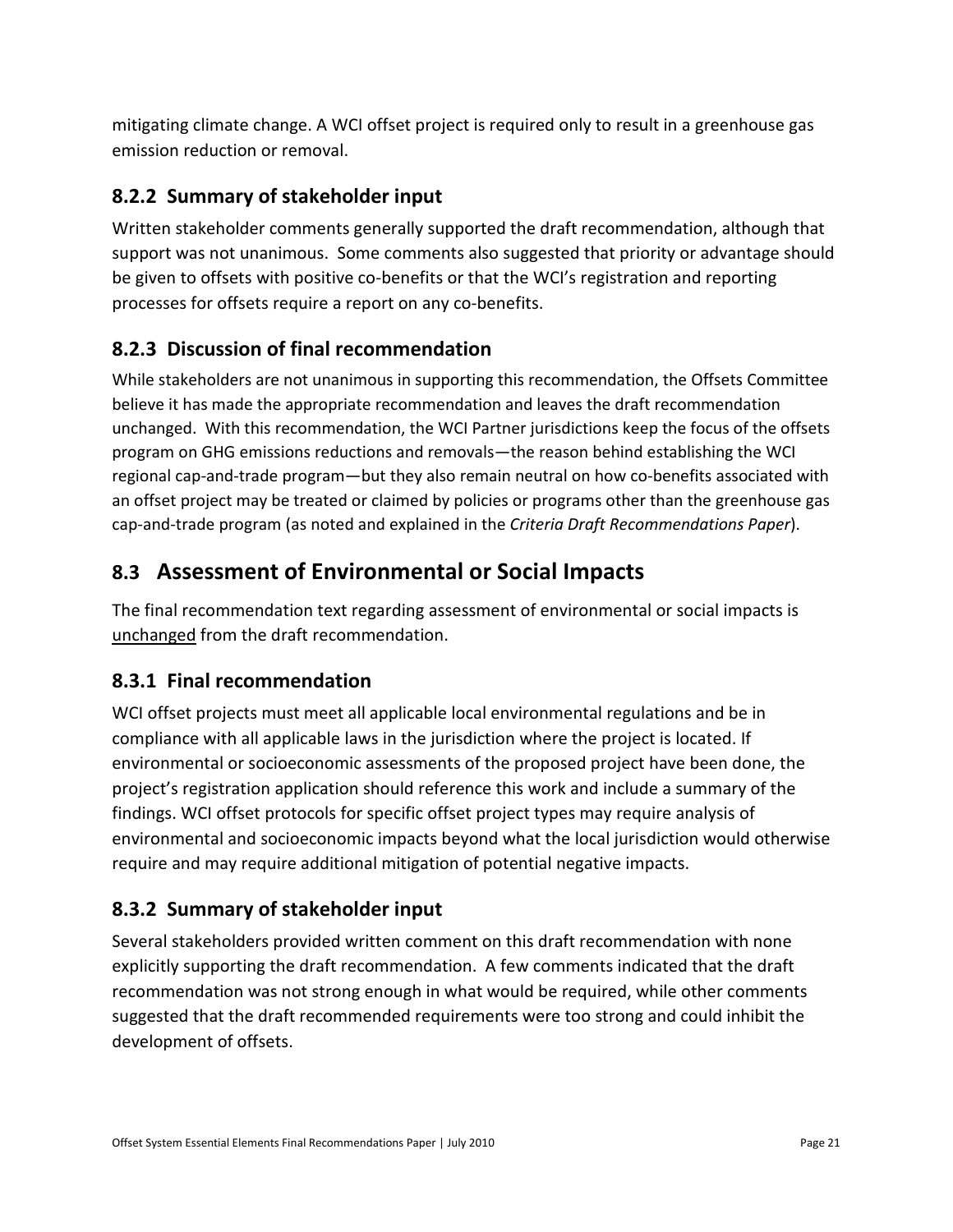mitigating climate change. A WCI offset project is required only to result in a greenhouse gas emission reduction or removal.

#### **8.2.2 Summary of stakeholder input**

Written stakeholder comments generally supported the draft recommendation, although that support was not unanimous. Some comments also suggested that priority or advantage should be given to offsets with positive co-benefits or that the WCI's registration and reporting processes for offsets require a report on any co-benefits.

#### **8.2.3 Discussion of final recommendation**

While stakeholders are not unanimous in supporting this recommendation, the Offsets Committee believe it has made the appropriate recommendation and leaves the draft recommendation unchanged. With this recommendation, the WCI Partner jurisdictions keep the focus of the offsets program on GHG emissions reductions and removals—the reason behind establishing the WCI regional cap-and-trade program—but they also remain neutral on how co-benefits associated with an offset project may be treated or claimed by policies or programs other than the greenhouse gas cap-and-trade program (as noted and explained in the *Criteria Draft Recommendations Paper*).

### **8.3 Assessment of Environmental or Social Impacts**

The final recommendation text regarding assessment of environmental or social impacts is unchanged from the draft recommendation.

#### **8.3.1 Final recommendation**

WCI offset projects must meet all applicable local environmental regulations and be in compliance with all applicable laws in the jurisdiction where the project is located. If environmental or socioeconomic assessments of the proposed project have been done, the project's registration application should reference this work and include a summary of the findings. WCI offset protocols for specific offset project types may require analysis of environmental and socioeconomic impacts beyond what the local jurisdiction would otherwise require and may require additional mitigation of potential negative impacts.

### **8.3.2 Summary of stakeholder input**

Several stakeholders provided written comment on this draft recommendation with none explicitly supporting the draft recommendation. A few comments indicated that the draft recommendation was not strong enough in what would be required, while other comments suggested that the draft recommended requirements were too strong and could inhibit the development of offsets.